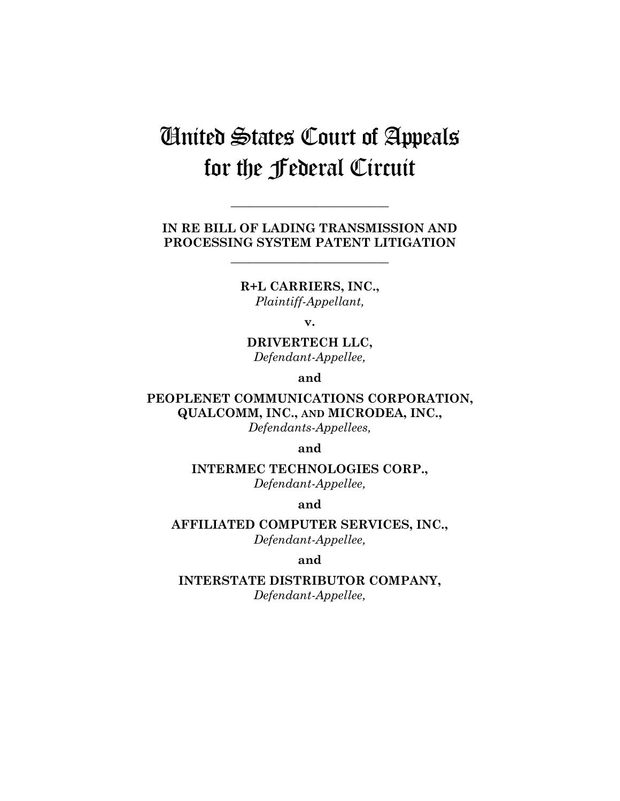# United States Court of Appeals for the Federal Circuit

**IN RE BILL OF LADING TRANSMISSION AND PROCESSING SYSTEM PATENT LITIGATION** 

**\_\_\_\_\_\_\_\_\_\_\_\_\_\_\_\_\_\_\_\_\_\_\_\_\_\_** 

**\_\_\_\_\_\_\_\_\_\_\_\_\_\_\_\_\_\_\_\_\_\_\_\_\_\_** 

**R+L CARRIERS, INC.,**  *Plaintiff-Appellant,* 

**v.** 

**DRIVERTECH LLC,**  *Defendant-Appellee,* 

**and** 

**PEOPLENET COMMUNICATIONS CORPORATION, QUALCOMM, INC., AND MICRODEA, INC.,**  *Defendants-Appellees,* 

**and** 

**INTERMEC TECHNOLOGIES CORP.,** 

*Defendant-Appellee,* 

**and** 

**AFFILIATED COMPUTER SERVICES, INC.,**  *Defendant-Appellee,* 

**and** 

**INTERSTATE DISTRIBUTOR COMPANY,** 

*Defendant-Appellee,*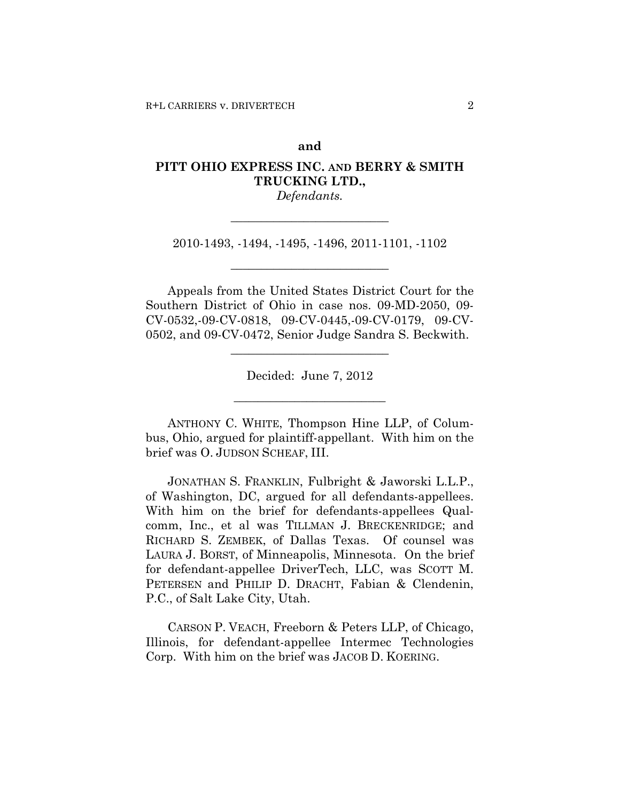#### **and**

# **PITT OHIO EXPRESS INC. AND BERRY & SMITH TRUCKING LTD.,**

*Defendants.*  **\_\_\_\_\_\_\_\_\_\_\_\_\_\_\_\_\_\_\_\_\_\_\_\_\_\_** 

2010-1493, -1494, -1495, -1496, 2011-1101, -1102

**\_\_\_\_\_\_\_\_\_\_\_\_\_\_\_\_\_\_\_\_\_\_\_\_\_\_** 

Appeals from the United States District Court for the Southern District of Ohio in case nos. 09-MD-2050, 09- CV-0532,-09-CV-0818, 09-CV-0445,-09-CV-0179, 09-CV-0502, and 09-CV-0472, Senior Judge Sandra S. Beckwith.

Decided: June 7, 2012

**\_\_\_\_\_\_\_\_\_\_\_\_\_\_\_\_\_\_\_\_\_\_\_\_\_** 

**\_\_\_\_\_\_\_\_\_\_\_\_\_\_\_\_\_\_\_\_\_\_\_\_\_\_** 

ANTHONY C. WHITE, Thompson Hine LLP, of Columbus, Ohio, argued for plaintiff-appellant. With him on the brief was O. JUDSON SCHEAF, III.

JONATHAN S. FRANKLIN, Fulbright & Jaworski L.L.P., of Washington, DC, argued for all defendants-appellees. With him on the brief for defendants-appellees Qualcomm, Inc., et al was TILLMAN J. BRECKENRIDGE; and RICHARD S. ZEMBEK, of Dallas Texas. Of counsel was LAURA J. BORST, of Minneapolis, Minnesota. On the brief for defendant-appellee DriverTech, LLC, was SCOTT M. PETERSEN and PHILIP D. DRACHT, Fabian & Clendenin, P.C., of Salt Lake City, Utah.

CARSON P. VEACH, Freeborn & Peters LLP, of Chicago, Illinois, for defendant-appellee Intermec Technologies Corp. With him on the brief was JACOB D. KOERING.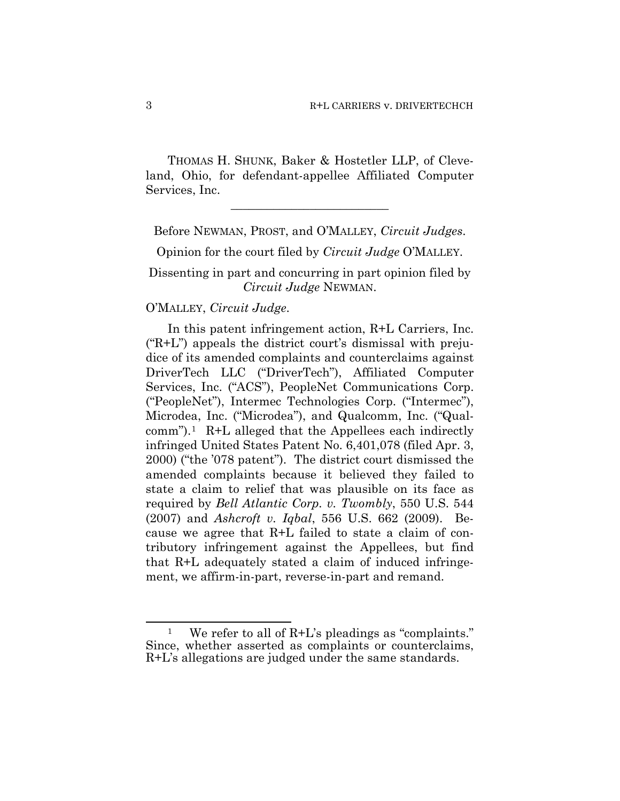THOMAS H. SHUNK, Baker & Hostetler LLP, of Cleveland, Ohio, for defendant-appellee Affiliated Computer Services, Inc.

**\_\_\_\_\_\_\_\_\_\_\_\_\_\_\_\_\_\_\_\_\_\_\_\_\_\_** 

Before NEWMAN, PROST, and O'MALLEY, *Circuit Judges*.

Opinion for the court filed by *Circuit Judge* O'MALLEY.

Dissenting in part and concurring in part opinion filed by *Circuit Judge* NEWMAN.

# O'MALLEY, *Circuit Judge*.

In this patent infringement action, R+L Carriers, Inc.  $("R+L")$  appeals the district court's dismissal with prejudice of its amended complaints and counterclaims against DriverTech LLC ("DriverTech"), Affiliated Computer Services, Inc. ("ACS"), PeopleNet Communications Corp. ("PeopleNet"), Intermec Technologies Corp. ("Intermec"), Microdea, Inc. ("Microdea"), and Qualcomm, Inc. ("Qualcomm").[1](#page-2-0) R+L alleged that the Appellees each indirectly infringed United States Patent No. 6,401,078 (filed Apr. 3, 2000) ("the '078 patent"). The district court dismissed the amended complaints because it believed they failed to state a claim to relief that was plausible on its face as required by *Bell Atlantic Corp. v. Twombly*, 550 U.S. 544 (2007) and *Ashcroft v. Iqbal*, 556 U.S. 662 (2009). Because we agree that R+L failed to state a claim of contributory infringement against the Appellees, but find that R+L adequately stated a claim of induced infringement, we affirm-in-part, reverse-in-part and remand.

 $\overline{a}$ 

<span id="page-2-0"></span><sup>1</sup> We refer to all of R+L's pleadings as "complaints." Since, whether asserted as complaints or counterclaims, R+L's allegations are judged under the same standards.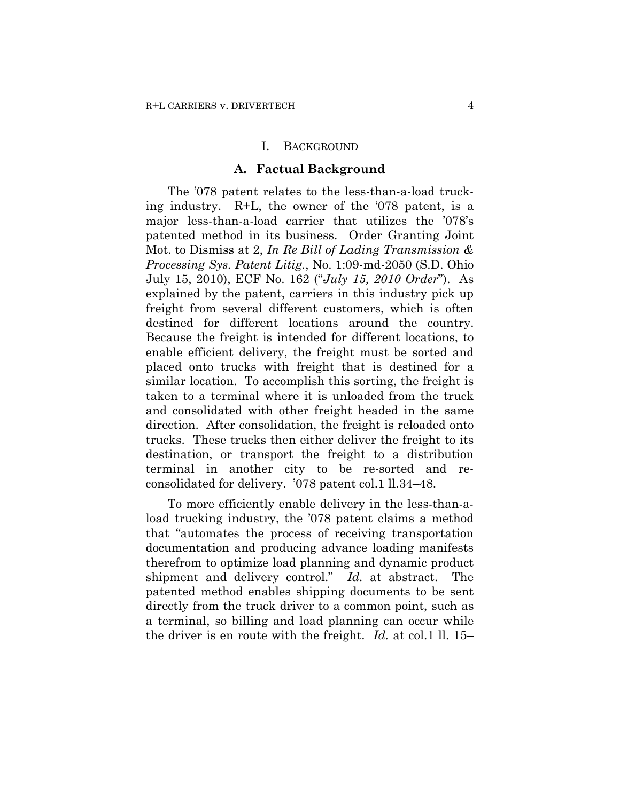#### I. BACKGROUND

#### **A. Factual Background**

The '078 patent relates to the less-than-a-load trucking industry. R+L, the owner of the '078 patent, is a major less-than-a-load carrier that utilizes the '078's patented method in its business. Order Granting Joint Mot. to Dismiss at 2, *In Re Bill of Lading Transmission & Processing Sys. Patent Litig.*, No. 1:09-md-2050 (S.D. Ohio July 15, 2010), ECF No. 162 ("*July 15, 2010 Order*"). As explained by the patent, carriers in this industry pick up freight from several different customers, which is often destined for different locations around the country. Because the freight is intended for different locations, to enable efficient delivery, the freight must be sorted and placed onto trucks with freight that is destined for a similar location. To accomplish this sorting, the freight is taken to a terminal where it is unloaded from the truck and consolidated with other freight headed in the same direction. After consolidation, the freight is reloaded onto trucks. These trucks then either deliver the freight to its destination, or transport the freight to a distribution terminal in another city to be re-sorted and reconsolidated for delivery. '078 patent col.1 ll.34–48.

To more efficiently enable delivery in the less-than-aload trucking industry, the '078 patent claims a method that "automates the process of receiving transportation documentation and producing advance loading manifests therefrom to optimize load planning and dynamic product shipment and delivery control." *Id.* at abstract. The patented method enables shipping documents to be sent directly from the truck driver to a common point, such as a terminal, so billing and load planning can occur while the driver is en route with the freight. *Id.* at col.1 ll. 15–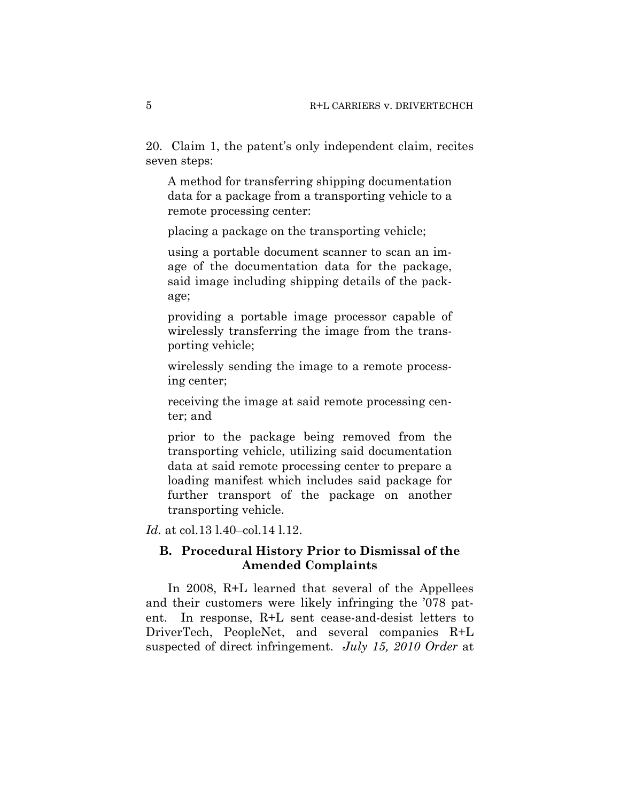20. Claim 1, the patent's only independent claim, recites seven steps:

A method for transferring shipping documentation data for a package from a transporting vehicle to a remote processing center:

placing a package on the transporting vehicle;

using a portable document scanner to scan an image of the documentation data for the package, said image including shipping details of the package;

providing a portable image processor capable of wirelessly transferring the image from the transporting vehicle;

wirelessly sending the image to a remote processing center;

receiving the image at said remote processing center; and

prior to the package being removed from the transporting vehicle, utilizing said documentation data at said remote processing center to prepare a loading manifest which includes said package for further transport of the package on another transporting vehicle.

*Id.* at col.13 l.40–col.14 l.12.

# **B. Procedural History Prior to Dismissal of the Amended Complaints**

In 2008, R+L learned that several of the Appellees and their customers were likely infringing the '078 patent. In response, R+L sent cease-and-desist letters to DriverTech, PeopleNet, and several companies R+L suspected of direct infringement. *July 15, 2010 Order* at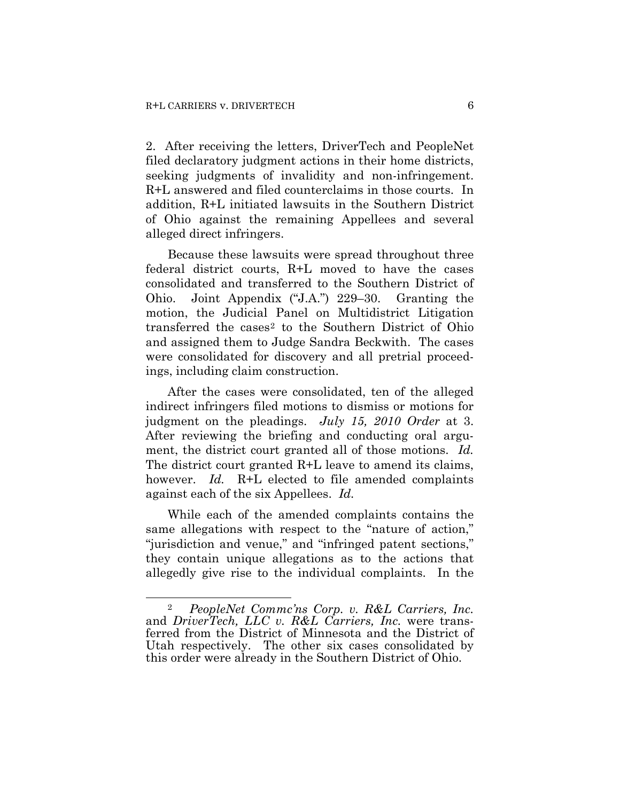2. After receiving the letters, DriverTech and PeopleNet filed declaratory judgment actions in their home districts, seeking judgments of invalidity and non-infringement. R+L answered and filed counterclaims in those courts. In addition, R+L initiated lawsuits in the Southern District of Ohio against the remaining Appellees and several alleged direct infringers.

Because these lawsuits were spread throughout three federal district courts, R+L moved to have the cases consolidated and transferred to the Southern District of Ohio. Joint Appendix ("J.A.") 229–30. Granting the motion, the Judicial Panel on Multidistrict Litigation transferred the cases<sup>[2](#page-5-0)</sup> to the Southern District of Ohio and assigned them to Judge Sandra Beckwith. The cases were consolidated for discovery and all pretrial proceedings, including claim construction.

After the cases were consolidated, ten of the alleged indirect infringers filed motions to dismiss or motions for judgment on the pleadings. *July 15, 2010 Order* at 3. After reviewing the briefing and conducting oral argument, the district court granted all of those motions. *Id.* The district court granted R+L leave to amend its claims, however. *Id.* R+L elected to file amended complaints against each of the six Appellees. *Id.*

While each of the amended complaints contains the same allegations with respect to the "nature of action," "jurisdiction and venue," and "infringed patent sections," they contain unique allegations as to the actions that allegedly give rise to the individual complaints. In the

1

<span id="page-5-0"></span><sup>2</sup> *PeopleNet Commc'ns Corp. v. R&L Carriers, Inc.* and *DriverTech, LLC v. R&L Carriers, Inc.* were transferred from the District of Minnesota and the District of Utah respectively. The other six cases consolidated by this order were already in the Southern District of Ohio.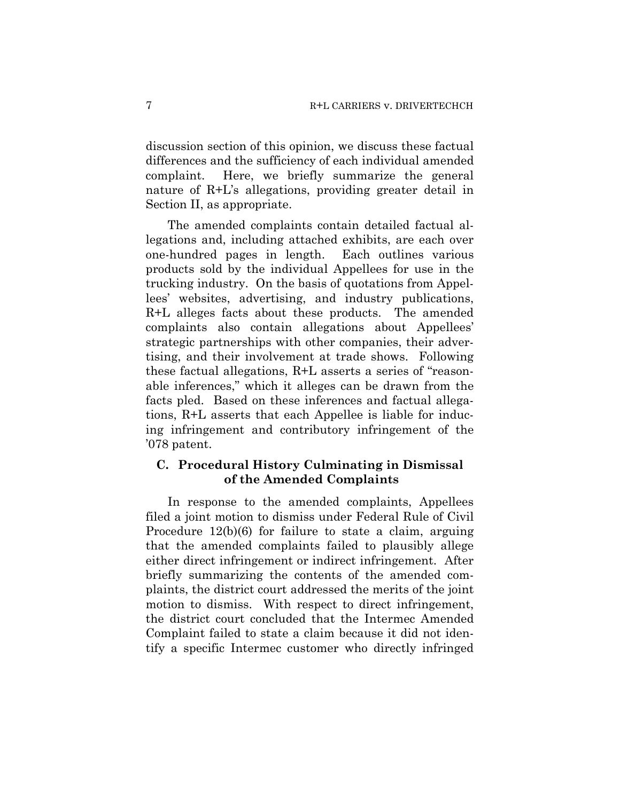discussion section of this opinion, we discuss these factual differences and the sufficiency of each individual amended complaint. Here, we briefly summarize the general nature of R+L's allegations, providing greater detail in Section II, as appropriate.

The amended complaints contain detailed factual allegations and, including attached exhibits, are each over one-hundred pages in length. Each outlines various products sold by the individual Appellees for use in the trucking industry. On the basis of quotations from Appellees' websites, advertising, and industry publications, R+L alleges facts about these products. The amended complaints also contain allegations about Appellees' strategic partnerships with other companies, their advertising, and their involvement at trade shows. Following these factual allegations, R+L asserts a series of "reasonable inferences," which it alleges can be drawn from the facts pled. Based on these inferences and factual allegations, R+L asserts that each Appellee is liable for inducing infringement and contributory infringement of the '078 patent.

# **C. Procedural History Culminating in Dismissal of the Amended Complaints**

In response to the amended complaints, Appellees filed a joint motion to dismiss under Federal Rule of Civil Procedure 12(b)(6) for failure to state a claim, arguing that the amended complaints failed to plausibly allege either direct infringement or indirect infringement. After briefly summarizing the contents of the amended complaints, the district court addressed the merits of the joint motion to dismiss. With respect to direct infringement, the district court concluded that the Intermec Amended Complaint failed to state a claim because it did not identify a specific Intermec customer who directly infringed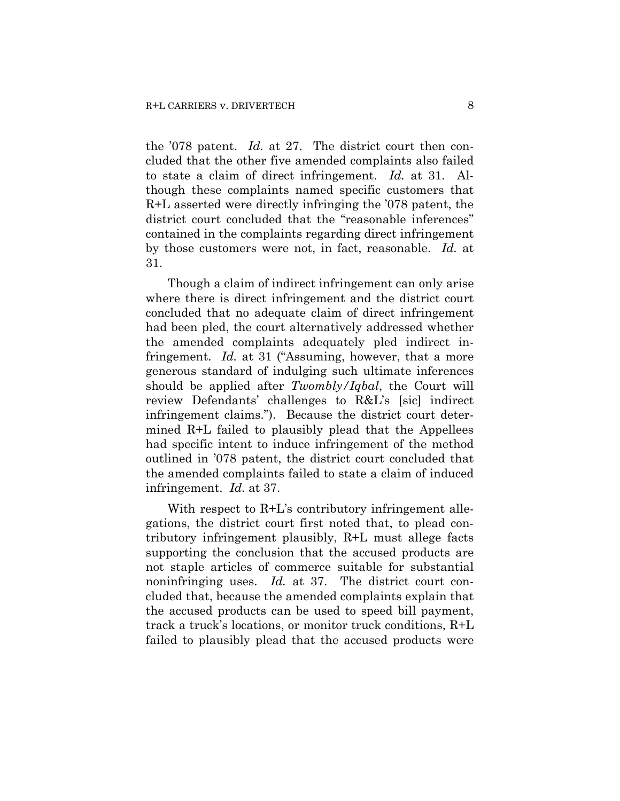the '078 patent. *Id.* at 27. The district court then concluded that the other five amended complaints also failed to state a claim of direct infringement. *Id.* at 31. Although these complaints named specific customers that R+L asserted were directly infringing the '078 patent, the district court concluded that the "reasonable inferences" contained in the complaints regarding direct infringement by those customers were not, in fact, reasonable. *Id.* at 31.

Though a claim of indirect infringement can only arise where there is direct infringement and the district court concluded that no adequate claim of direct infringement had been pled, the court alternatively addressed whether the amended complaints adequately pled indirect infringement. *Id.* at 31 ("Assuming, however, that a more generous standard of indulging such ultimate inferences should be applied after *Twombly/Iqbal*, the Court will review Defendants' challenges to R&L's [sic] indirect infringement claims."). Because the district court determined R+L failed to plausibly plead that the Appellees had specific intent to induce infringement of the method outlined in '078 patent, the district court concluded that the amended complaints failed to state a claim of induced infringement. *Id.* at 37.

With respect to R+L's contributory infringement allegations, the district court first noted that, to plead contributory infringement plausibly, R+L must allege facts supporting the conclusion that the accused products are not staple articles of commerce suitable for substantial noninfringing uses. *Id.* at 37. The district court concluded that, because the amended complaints explain that the accused products can be used to speed bill payment, track a truck's locations, or monitor truck conditions, R+L failed to plausibly plead that the accused products were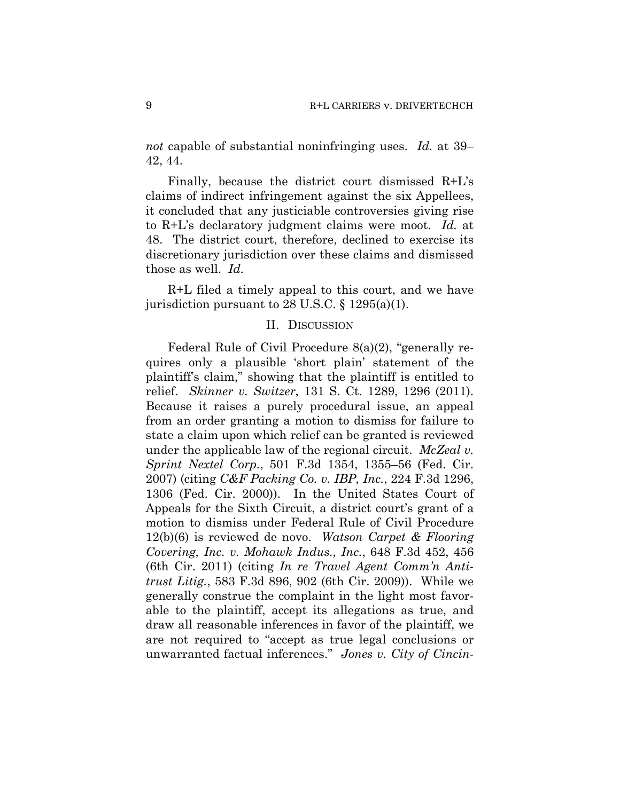*not* capable of substantial noninfringing uses. *Id.* at 39– 42, 44.

Finally, because the district court dismissed R+L's claims of indirect infringement against the six Appellees, it concluded that any justiciable controversies giving rise to R+L's declaratory judgment claims were moot. *Id.* at 48. The district court, therefore, declined to exercise its discretionary jurisdiction over these claims and dismissed those as well. *Id.*

R+L filed a timely appeal to this court, and we have jurisdiction pursuant to 28 U.S.C. § 1295(a)(1).

### II. DISCUSSION

Federal Rule of Civil Procedure 8(a)(2), "generally requires only a plausible 'short plain' statement of the plaintiff's claim," showing that the plaintiff is entitled to relief. *Skinner v. Switzer*, 131 S. Ct. 1289, 1296 (2011). Because it raises a purely procedural issue, an appeal from an order granting a motion to dismiss for failure to state a claim upon which relief can be granted is reviewed under the applicable law of the regional circuit. *McZeal v. Sprint Nextel Corp.*, 501 F.3d 1354, 1355–56 (Fed. Cir. 2007) (citing *C&F Packing Co. v. IBP, Inc.*, 224 F.3d 1296, 1306 (Fed. Cir. 2000)). In the United States Court of Appeals for the Sixth Circuit, a district court's grant of a motion to dismiss under Federal Rule of Civil Procedure 12(b)(6) is reviewed de novo. *Watson Carpet & Flooring Covering, Inc. v. Mohawk Indus., Inc.*, 648 F.3d 452, 456 (6th Cir. 2011) (citing *In re Travel Agent Comm'n Antitrust Litig.*, 583 F.3d 896, 902 (6th Cir. 2009)). While we generally construe the complaint in the light most favorable to the plaintiff, accept its allegations as true, and draw all reasonable inferences in favor of the plaintiff, we are not required to "accept as true legal conclusions or unwarranted factual inferences." *Jones v. City of Cincin-*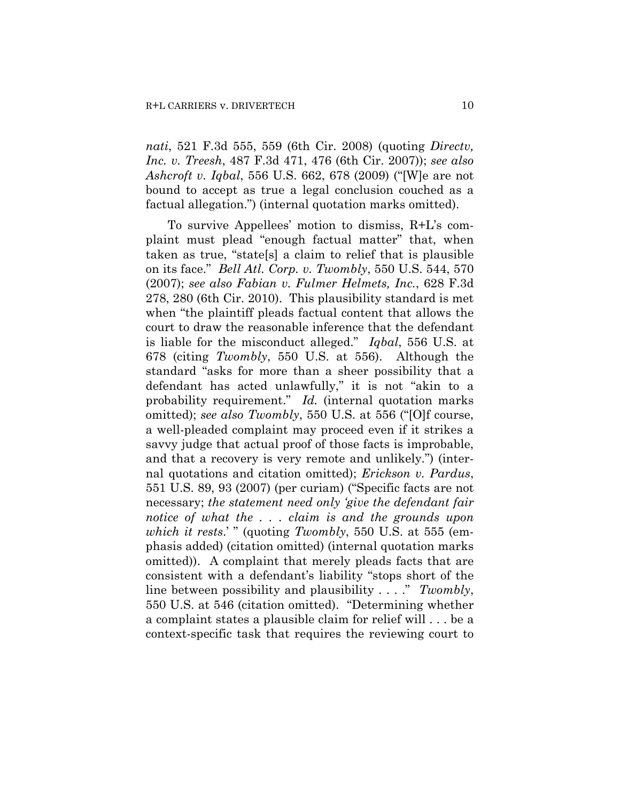*nati*, 521 F.3d 555, 559 (6th Cir. 2008) (quoting *Directv, Inc. v. Treesh*, 487 F.3d 471, 476 (6th Cir. 2007)); *see also Ashcroft v. Iqbal*, 556 U.S. 662, 678 (2009) ("[W]e are not bound to accept as true a legal conclusion couched as a factual allegation.") (internal quotation marks omitted).

To survive Appellees' motion to dismiss, R+L's complaint must plead "enough factual matter" that, when taken as true, "state[s] a claim to relief that is plausible on its face." *Bell Atl. Corp. v. Twombly*, 550 U.S. 544, 570 (2007); *see also Fabian v. Fulmer Helmets, Inc.*, 628 F.3d 278, 280 (6th Cir. 2010). This plausibility standard is met when "the plaintiff pleads factual content that allows the court to draw the reasonable inference that the defendant is liable for the misconduct alleged." *Iqbal*, 556 U.S. at 678 (citing *Twombly*, 550 U.S. at 556). Although the standard "asks for more than a sheer possibility that a defendant has acted unlawfully," it is not "akin to a probability requirement." *Id.* (internal quotation marks omitted); *see also Twombly*, 550 U.S. at 556 ("[O]f course, a well-pleaded complaint may proceed even if it strikes a savvy judge that actual proof of those facts is improbable, and that a recovery is very remote and unlikely.") (internal quotations and citation omitted); *Erickson v. Pardus*, 551 U.S. 89, 93 (2007) (per curiam) ("Specific facts are not necessary; *the statement need only 'give the defendant fair notice of what the . . . claim is and the grounds upon which it rests*.' " (quoting *Twombly*, 550 U.S. at 555 (emphasis added) (citation omitted) (internal quotation marks omitted)). A complaint that merely pleads facts that are consistent with a defendant's liability "stops short of the line between possibility and plausibility . . . ." *Twombly*, 550 U.S. at 546 (citation omitted). "Determining whether a complaint states a plausible claim for relief will . . . be a context-specific task that requires the reviewing court to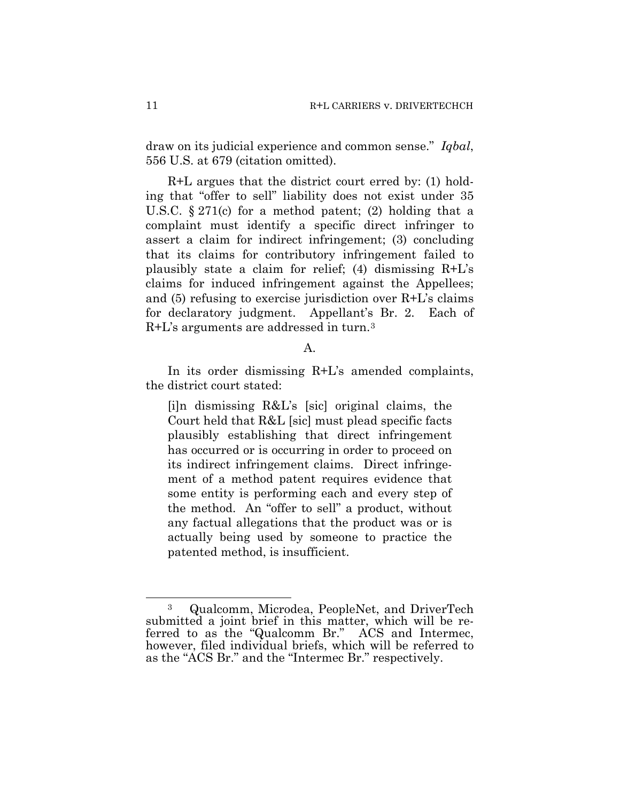draw on its judicial experience and common sense." *Iqbal*, 556 U.S. at 679 (citation omitted).

R+L argues that the district court erred by: (1) holding that "offer to sell" liability does not exist under 35 U.S.C.  $\S 271(c)$  for a method patent; (2) holding that a complaint must identify a specific direct infringer to assert a claim for indirect infringement; (3) concluding that its claims for contributory infringement failed to plausibly state a claim for relief; (4) dismissing R+L's claims for induced infringement against the Appellees; and  $(5)$  refusing to exercise jurisdiction over  $R+L$ 's claims for declaratory judgment. Appellant's Br. 2. Each of R+L's arguments are addressed in turn.[3](#page-10-0)

#### A.

In its order dismissing R+L's amended complaints, the district court stated:

[i]n dismissing R&L's [sic] original claims, the Court held that R&L [sic] must plead specific facts plausibly establishing that direct infringement has occurred or is occurring in order to proceed on its indirect infringement claims. Direct infringement of a method patent requires evidence that some entity is performing each and every step of the method. An "offer to sell" a product, without any factual allegations that the product was or is actually being used by someone to practice the patented method, is insufficient.

 $\overline{a}$ 

<span id="page-10-0"></span><sup>3</sup> Qualcomm, Microdea, PeopleNet, and DriverTech submitted a joint brief in this matter, which will be referred to as the "Qualcomm Br." ACS and Intermec, however, filed individual briefs, which will be referred to as the "ACS Br." and the "Intermec Br." respectively.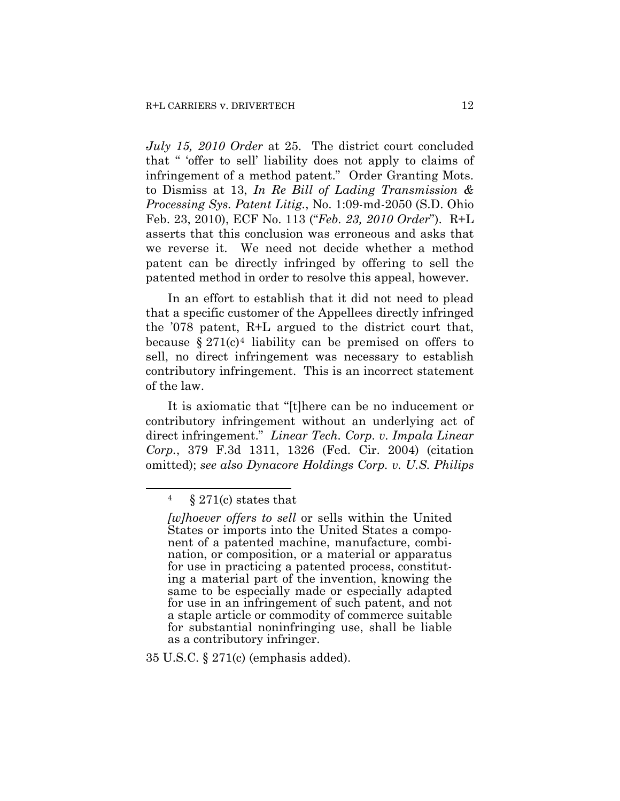*July 15, 2010 Order* at 25. The district court concluded that " 'offer to sell' liability does not apply to claims of infringement of a method patent." Order Granting Mots. to Dismiss at 13, *In Re Bill of Lading Transmission & Processing Sys. Patent Litig.*, No. 1:09-md-2050 (S.D. Ohio Feb. 23, 2010), ECF No. 113 ("*Feb. 23, 2010 Order*"). R+L asserts that this conclusion was erroneous and asks that we reverse it. We need not decide whether a method patent can be directly infringed by offering to sell the patented method in order to resolve this appeal, however.

In an effort to establish that it did not need to plead that a specific customer of the Appellees directly infringed the '078 patent, R+L argued to the district court that, because  $\S 271(c)^4$  $\S 271(c)^4$  liability can be premised on offers to sell, no direct infringement was necessary to establish contributory infringement. This is an incorrect statement of the law.

It is axiomatic that "[t]here can be no inducement or contributory infringement without an underlying act of direct infringement." *Linear Tech. Corp. v. Impala Linear Corp.*, 379 F.3d 1311, 1326 (Fed. Cir. 2004) (citation omitted); *see also Dynacore Holdings Corp. v. U.S. Philips* 

<span id="page-11-0"></span> $\overline{a}$ 

35 U.S.C. § 271(c) (emphasis added).

<sup>4 § 271(</sup>c) states that

*<sup>[</sup>w]hoever offers to sell* or sells within the United States or imports into the United States a component of a patented machine, manufacture, combination, or composition, or a material or apparatus for use in practicing a patented process, constituting a material part of the invention, knowing the same to be especially made or especially adapted for use in an infringement of such patent, and not a staple article or commodity of commerce suitable for substantial noninfringing use, shall be liable as a contributory infringer.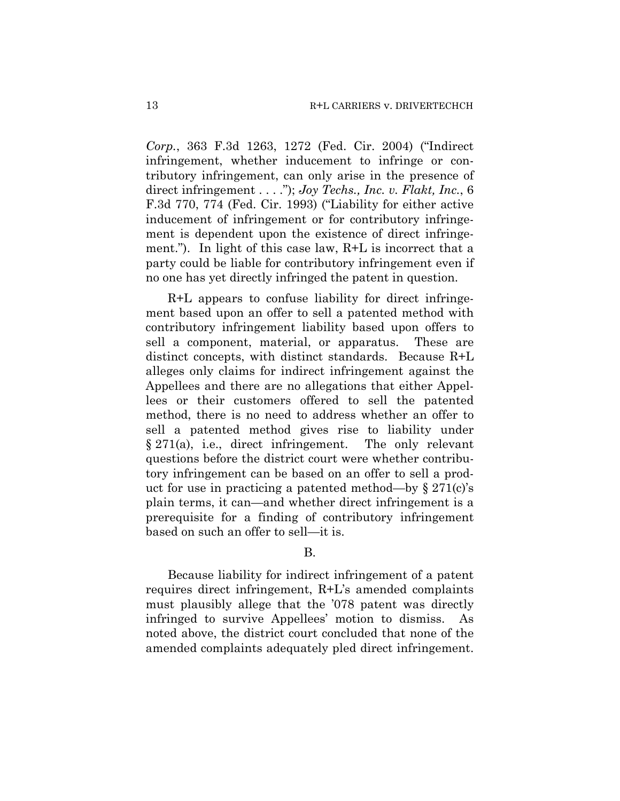*Corp.*, 363 F.3d 1263, 1272 (Fed. Cir. 2004) ("Indirect infringement, whether inducement to infringe or contributory infringement, can only arise in the presence of direct infringement . . . ."); *Joy Techs., Inc. v. Flakt, Inc.*, 6 F.3d 770, 774 (Fed. Cir. 1993) ("Liability for either active inducement of infringement or for contributory infringement is dependent upon the existence of direct infringement."). In light of this case law, R+L is incorrect that a party could be liable for contributory infringement even if no one has yet directly infringed the patent in question.

R+L appears to confuse liability for direct infringement based upon an offer to sell a patented method with contributory infringement liability based upon offers to sell a component, material, or apparatus. These are distinct concepts, with distinct standards. Because R+L alleges only claims for indirect infringement against the Appellees and there are no allegations that either Appellees or their customers offered to sell the patented method, there is no need to address whether an offer to sell a patented method gives rise to liability under § 271(a), i.e., direct infringement. The only relevant questions before the district court were whether contributory infringement can be based on an offer to sell a product for use in practicing a patented method—by  $\S 271(c)$ 's plain terms, it can—and whether direct infringement is a prerequisite for a finding of contributory infringement based on such an offer to sell—it is.

#### B.

Because liability for indirect infringement of a patent requires direct infringement, R+L's amended complaints must plausibly allege that the '078 patent was directly infringed to survive Appellees' motion to dismiss. As noted above, the district court concluded that none of the amended complaints adequately pled direct infringement.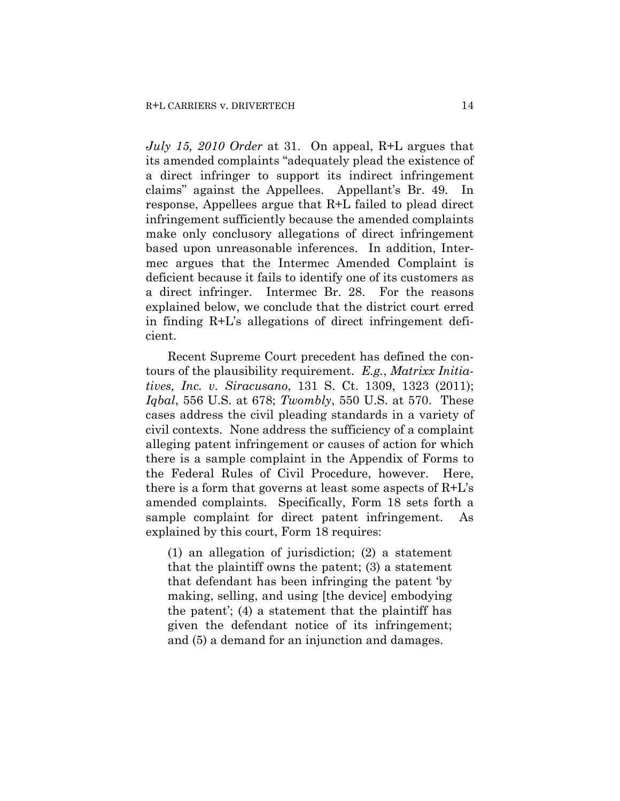*July 15, 2010 Order* at 31. On appeal, R+L argues that its amended complaints "adequately plead the existence of a direct infringer to support its indirect infringement claims" against the Appellees. Appellant's Br. 49. In response, Appellees argue that R+L failed to plead direct infringement sufficiently because the amended complaints make only conclusory allegations of direct infringement based upon unreasonable inferences. In addition, Intermec argues that the Intermec Amended Complaint is deficient because it fails to identify one of its customers as a direct infringer. Intermec Br. 28. For the reasons explained below, we conclude that the district court erred in finding R+L's allegations of direct infringement deficient.

Recent Supreme Court precedent has defined the contours of the plausibility requirement. *E.g.*, *Matrixx Initiatives, Inc. v. Siracusano*, 131 S. Ct. 1309, 1323 (2011); *Iqbal*, 556 U.S. at 678; *Twombly*, 550 U.S. at 570. These cases address the civil pleading standards in a variety of civil contexts. None address the sufficiency of a complaint alleging patent infringement or causes of action for which there is a sample complaint in the Appendix of Forms to the Federal Rules of Civil Procedure, however. Here, there is a form that governs at least some aspects of R+L's amended complaints. Specifically, Form 18 sets forth a sample complaint for direct patent infringement. As explained by this court, Form 18 requires:

(1) an allegation of jurisdiction; (2) a statement that the plaintiff owns the patent; (3) a statement that defendant has been infringing the patent 'by making, selling, and using [the device] embodying the patent'; (4) a statement that the plaintiff has given the defendant notice of its infringement; and (5) a demand for an injunction and damages.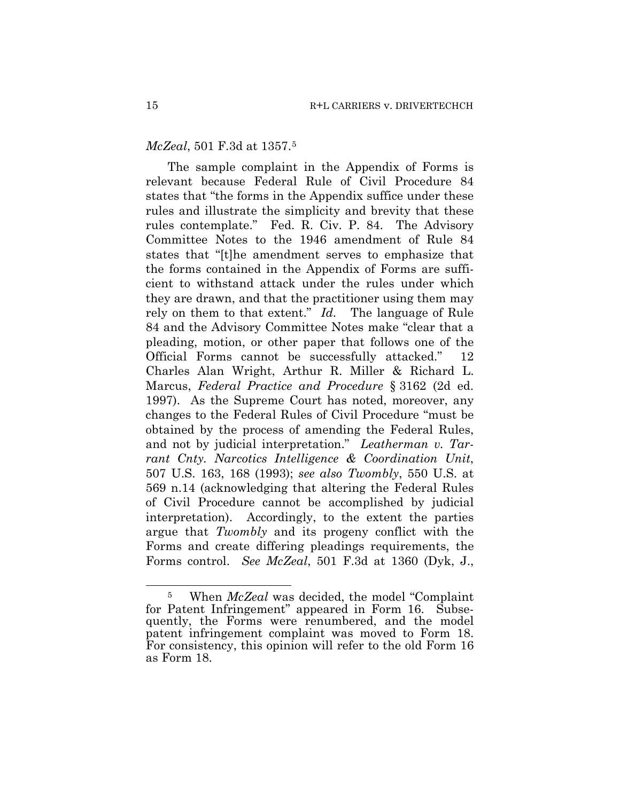### *McZeal*, 501 F.3d at 1357.[5](#page-14-0)

The sample complaint in the Appendix of Forms is relevant because Federal Rule of Civil Procedure 84 states that "the forms in the Appendix suffice under these rules and illustrate the simplicity and brevity that these rules contemplate." Fed. R. Civ. P. 84. The Advisory Committee Notes to the 1946 amendment of Rule 84 states that "[t]he amendment serves to emphasize that the forms contained in the Appendix of Forms are sufficient to withstand attack under the rules under which they are drawn, and that the practitioner using them may rely on them to that extent." *Id.* The language of Rule 84 and the Advisory Committee Notes make "clear that a pleading, motion, or other paper that follows one of the Official Forms cannot be successfully attacked." 12 Charles Alan Wright, Arthur R. Miller & Richard L. Marcus, *Federal Practice and Procedure* § 3162 (2d ed. 1997). As the Supreme Court has noted, moreover, any changes to the Federal Rules of Civil Procedure "must be obtained by the process of amending the Federal Rules, and not by judicial interpretation." *Leatherman v. Tarrant Cnty. Narcotics Intelligence & Coordination Unit*, 507 U.S. 163, 168 (1993); *see also Twombly*, 550 U.S. at 569 n.14 (acknowledging that altering the Federal Rules of Civil Procedure cannot be accomplished by judicial interpretation). Accordingly, to the extent the parties argue that *Twombly* and its progeny conflict with the Forms and create differing pleadings requirements, the Forms control. *See McZeal*, 501 F.3d at 1360 (Dyk, J.,

1

<span id="page-14-0"></span><sup>5</sup> When *McZeal* was decided, the model "Complaint for Patent Infringement" appeared in Form 16. Subsequently, the Forms were renumbered, and the model patent infringement complaint was moved to Form 18. For consistency, this opinion will refer to the old Form 16 as Form 18.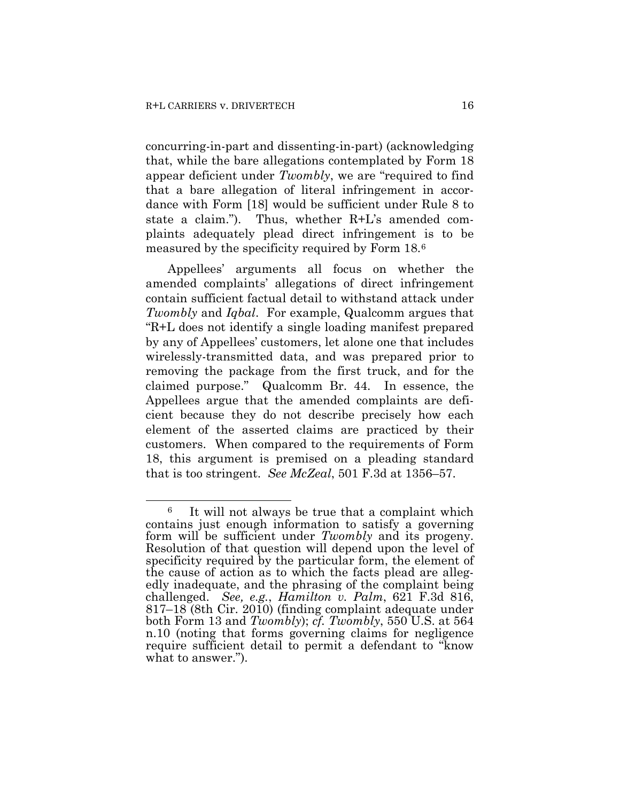1

concurring-in-part and dissenting-in-part) (acknowledging that, while the bare allegations contemplated by Form 18 appear deficient under *Twombly*, we are "required to find that a bare allegation of literal infringement in accordance with Form [18] would be sufficient under Rule 8 to state a claim."). Thus, whether R+L's amended complaints adequately plead direct infringement is to be measured by the specificity required by Form 18.[6](#page-15-0)

Appellees' arguments all focus on whether the amended complaints' allegations of direct infringement contain sufficient factual detail to withstand attack under *Twombly* and *Iqbal*. For example, Qualcomm argues that "R+L does not identify a single loading manifest prepared by any of Appellees' customers, let alone one that includes wirelessly-transmitted data, and was prepared prior to removing the package from the first truck, and for the claimed purpose." Qualcomm Br. 44. In essence, the Appellees argue that the amended complaints are deficient because they do not describe precisely how each element of the asserted claims are practiced by their customers. When compared to the requirements of Form 18, this argument is premised on a pleading standard that is too stringent. *See McZeal*, 501 F.3d at 1356–57.

<span id="page-15-0"></span><sup>6</sup> It will not always be true that a complaint which contains just enough information to satisfy a governing form will be sufficient under *Twombly* and its progeny. Resolution of that question will depend upon the level of specificity required by the particular form, the element of the cause of action as to which the facts plead are allegedly inadequate, and the phrasing of the complaint being challenged. *See, e.g.*, *Hamilton v. Palm*, 621 F.3d 816, 817–18 (8th Cir. 2010) (finding complaint adequate under both Form 13 and *Twombly*); *cf. Twombly*, 550 U.S. at 564 n.10 (noting that forms governing claims for negligence require sufficient detail to permit a defendant to "know what to answer.").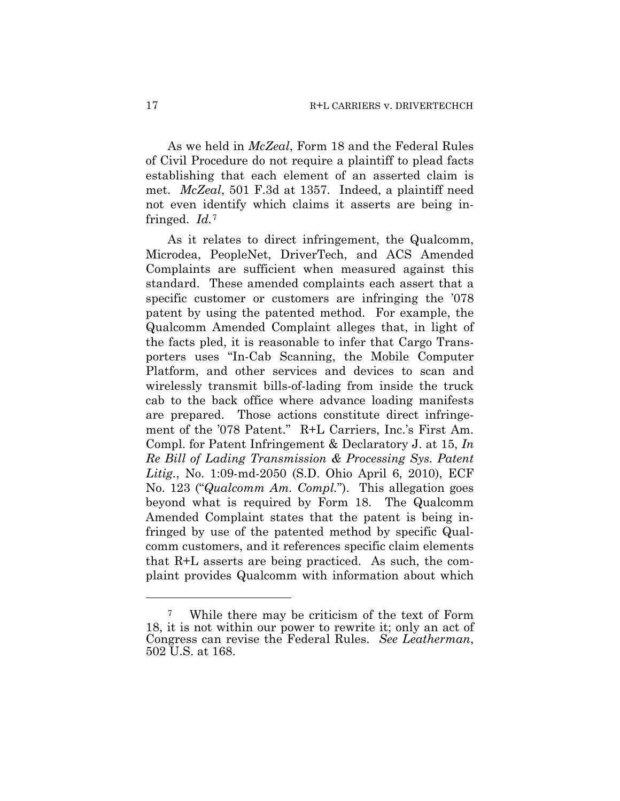As we held in *McZeal*, Form 18 and the Federal Rules of Civil Procedure do not require a plaintiff to plead facts establishing that each element of an asserted claim is met. *McZeal*, 501 F.3d at 1357. Indeed, a plaintiff need not even identify which claims it asserts are being infringed. *Id.*[7](#page-16-0)

As it relates to direct infringement, the Qualcomm, Microdea, PeopleNet, DriverTech, and ACS Amended Complaints are sufficient when measured against this standard. These amended complaints each assert that a specific customer or customers are infringing the '078 patent by using the patented method. For example, the Qualcomm Amended Complaint alleges that, in light of the facts pled, it is reasonable to infer that Cargo Transporters uses "In-Cab Scanning, the Mobile Computer Platform, and other services and devices to scan and wirelessly transmit bills-of-lading from inside the truck cab to the back office where advance loading manifests are prepared. Those actions constitute direct infringement of the '078 Patent." R+L Carriers, Inc.'s First Am. Compl. for Patent Infringement & Declaratory J. at 15, *In Re Bill of Lading Transmission & Processing Sys. Patent Litig.*, No. 1:09-md-2050 (S.D. Ohio April 6, 2010), ECF No. 123 ("*Qualcomm Am. Compl.*"). This allegation goes beyond what is required by Form 18. The Qualcomm Amended Complaint states that the patent is being infringed by use of the patented method by specific Qualcomm customers, and it references specific claim elements that R+L asserts are being practiced. As such, the complaint provides Qualcomm with information about which

1

<span id="page-16-0"></span>While there may be criticism of the text of Form 18, it is not within our power to rewrite it; only an act of Congress can revise the Federal Rules. *See Leatherman*, 502 U.S. at 168.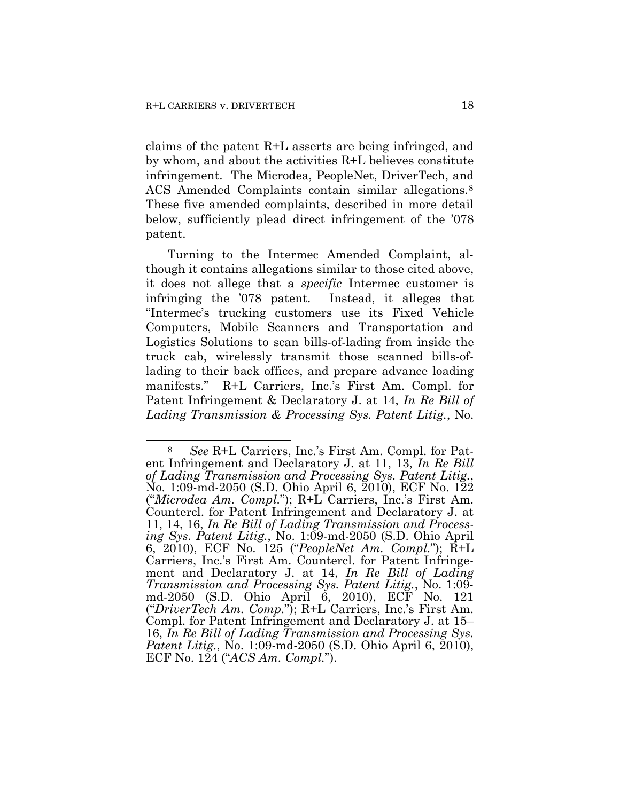claims of the patent R+L asserts are being infringed, and by whom, and about the activities R+L believes constitute infringement. The Microdea, PeopleNet, DriverTech, and ACS Amended Complaints contain similar allegations.<sup>[8](#page-17-0)</sup> These five amended complaints, described in more detail below, sufficiently plead direct infringement of the '078 patent.

Turning to the Intermec Amended Complaint, although it contains allegations similar to those cited above, it does not allege that a *specific* Intermec customer is infringing the '078 patent. Instead, it alleges that "Intermec's trucking customers use its Fixed Vehicle Computers, Mobile Scanners and Transportation and Logistics Solutions to scan bills-of-lading from inside the truck cab, wirelessly transmit those scanned bills-oflading to their back offices, and prepare advance loading manifests." R+L Carriers, Inc.'s First Am. Compl. for Patent Infringement & Declaratory J. at 14, *In Re Bill of Lading Transmission & Processing Sys. Patent Litig.*, No.

<span id="page-17-0"></span> $\overline{a}$ 8 *See* R+L Carriers, Inc.'s First Am. Compl. for Patent Infringement and Declaratory J. at 11, 13, *In Re Bill of Lading Transmission and Processing Sys. Patent Litig.*, No. 1:09-md-2050 (S.D. Ohio April 6, 2010), ECF No. 122 ("*Microdea Am. Compl.*"); R+L Carriers, Inc.'s First Am. Countercl. for Patent Infringement and Declaratory J. at 11, 14, 16, *In Re Bill of Lading Transmission and Processing Sys. Patent Litig.*, No. 1:09-md-2050 (S.D. Ohio April 6, 2010), ECF No. 125 ("*PeopleNet Am. Compl.*"); R+L Carriers, Inc.'s First Am. Countercl. for Patent Infringement and Declaratory J. at 14, *In Re Bill of Lading Transmission and Processing Sys. Patent Litig.*, No. 1:09 md-2050 (S.D. Ohio April 6, 2010), ECF No. 121 ("*DriverTech Am. Comp.*"); R+L Carriers, Inc.'s First Am. Compl. for Patent Infringement and Declaratory J. at 15– 16, *In Re Bill of Lading Transmission and Processing Sys. Patent Litig.*, No. 1:09-md-2050 (S.D. Ohio April 6, 2010), ECF No. 124 ("*ACS Am. Compl.*").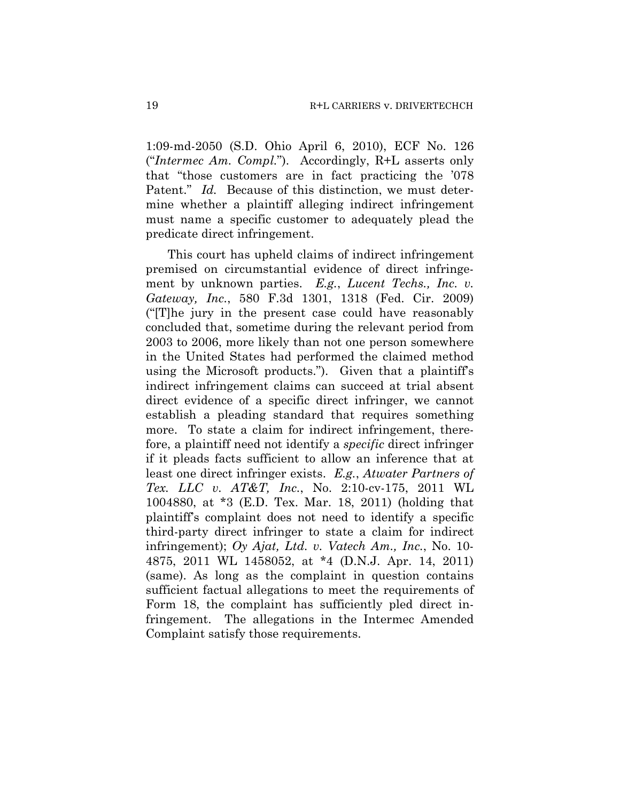1:09-md-2050 (S.D. Ohio April 6, 2010), ECF No. 126 ("*Intermec Am. Compl.*"). Accordingly, R+L asserts only that "those customers are in fact practicing the '078 Patent." *Id.* Because of this distinction, we must determine whether a plaintiff alleging indirect infringement must name a specific customer to adequately plead the predicate direct infringement.

This court has upheld claims of indirect infringement premised on circumstantial evidence of direct infringement by unknown parties. *E.g.*, *Lucent Techs., Inc. v. Gateway, Inc.*, 580 F.3d 1301, 1318 (Fed. Cir. 2009) ("[T]he jury in the present case could have reasonably concluded that, sometime during the relevant period from 2003 to 2006, more likely than not one person somewhere in the United States had performed the claimed method using the Microsoft products."). Given that a plaintiff's indirect infringement claims can succeed at trial absent direct evidence of a specific direct infringer, we cannot establish a pleading standard that requires something more. To state a claim for indirect infringement, therefore, a plaintiff need not identify a *specific* direct infringer if it pleads facts sufficient to allow an inference that at least one direct infringer exists. *E.g.*, *Atwater Partners of Tex. LLC v. AT&T, Inc.*, No. 2:10-cv-175, 2011 WL 1004880, at \*3 (E.D. Tex. Mar. 18, 2011) (holding that plaintiff's complaint does not need to identify a specific third-party direct infringer to state a claim for indirect infringement); *Oy Ajat, Ltd. v. Vatech Am., Inc.*, No. 10- 4875, 2011 WL 1458052, at \*4 (D.N.J. Apr. 14, 2011) (same). As long as the complaint in question contains sufficient factual allegations to meet the requirements of Form 18, the complaint has sufficiently pled direct infringement. The allegations in the Intermec Amended Complaint satisfy those requirements.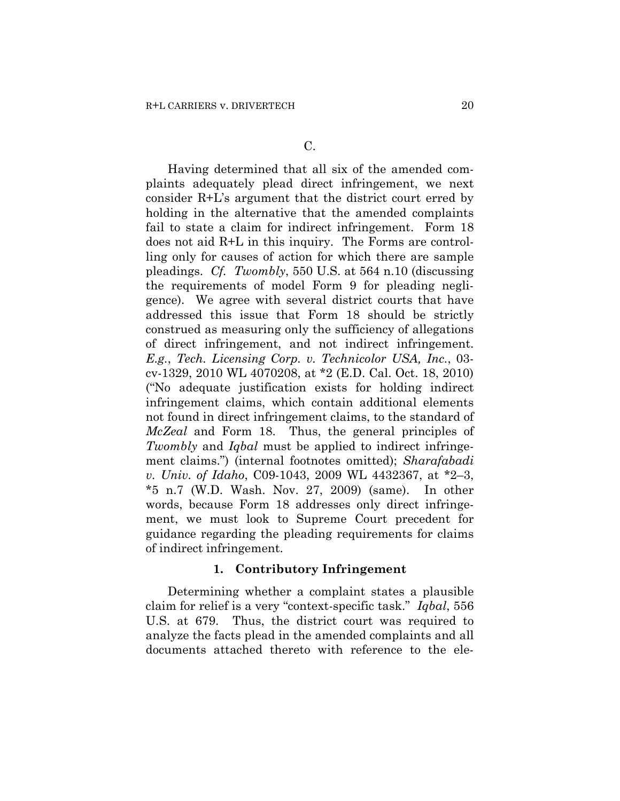Having determined that all six of the amended complaints adequately plead direct infringement, we next consider R+L's argument that the district court erred by holding in the alternative that the amended complaints fail to state a claim for indirect infringement. Form 18 does not aid R+L in this inquiry. The Forms are controlling only for causes of action for which there are sample pleadings. *Cf. Twombly*, 550 U.S. at 564 n.10 (discussing the requirements of model Form 9 for pleading negligence). We agree with several district courts that have addressed this issue that Form 18 should be strictly construed as measuring only the sufficiency of allegations of direct infringement, and not indirect infringement. *E.g.*, *Tech. Licensing Corp. v. Technicolor USA, Inc.*, 03 cv-1329, 2010 WL 4070208, at \*2 (E.D. Cal. Oct. 18, 2010) ("No adequate justification exists for holding indirect infringement claims, which contain additional elements not found in direct infringement claims, to the standard of *McZeal* and Form 18. Thus, the general principles of *Twombly* and *Iqbal* must be applied to indirect infringement claims.") (internal footnotes omitted); *Sharafabadi v. Univ. of Idaho*, C09-1043, 2009 WL 4432367, at \*2–3, \*5 n.7 (W.D. Wash. Nov. 27, 2009) (same). In other words, because Form 18 addresses only direct infringement, we must look to Supreme Court precedent for guidance regarding the pleading requirements for claims of indirect infringement.

#### **1. Contributory Infringement**

Determining whether a complaint states a plausible claim for relief is a very "context-specific task." *Iqbal*, 556 U.S. at 679. Thus, the district court was required to analyze the facts plead in the amended complaints and all documents attached thereto with reference to the ele-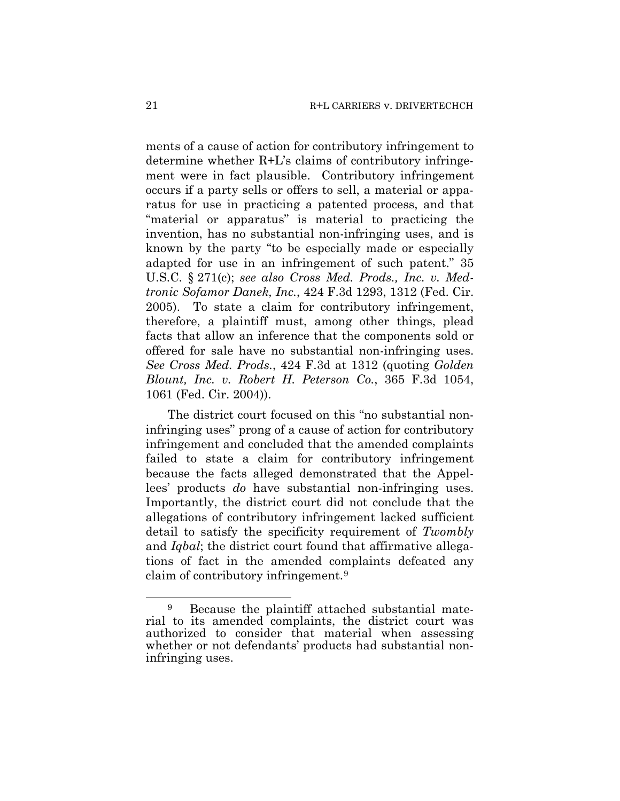ments of a cause of action for contributory infringement to determine whether R+L's claims of contributory infringement were in fact plausible. Contributory infringement occurs if a party sells or offers to sell, a material or apparatus for use in practicing a patented process, and that "material or apparatus" is material to practicing the invention, has no substantial non-infringing uses, and is known by the party "to be especially made or especially adapted for use in an infringement of such patent." 35 U.S.C. § 271(c); *see also Cross Med. Prods., Inc. v. Medtronic Sofamor Danek, Inc.*, 424 F.3d 1293, 1312 (Fed. Cir. 2005). To state a claim for contributory infringement, therefore, a plaintiff must, among other things, plead facts that allow an inference that the components sold or offered for sale have no substantial non-infringing uses. *See Cross Med. Prods.*, 424 F.3d at 1312 (quoting *Golden Blount, Inc. v. Robert H. Peterson Co.*, 365 F.3d 1054, 1061 (Fed. Cir. 2004)).

The district court focused on this "no substantial noninfringing uses" prong of a cause of action for contributory infringement and concluded that the amended complaints failed to state a claim for contributory infringement because the facts alleged demonstrated that the Appellees' products *do* have substantial non-infringing uses. Importantly, the district court did not conclude that the allegations of contributory infringement lacked sufficient detail to satisfy the specificity requirement of *Twombly* and *Iqbal*; the district court found that affirmative allegations of fact in the amended complaints defeated any claim of contributory infringement.[9](#page-20-0)

 $\overline{a}$ 

<span id="page-20-0"></span><sup>&</sup>lt;sup>9</sup> Because the plaintiff attached substantial material to its amended complaints, the district court was authorized to consider that material when assessing whether or not defendants' products had substantial noninfringing uses.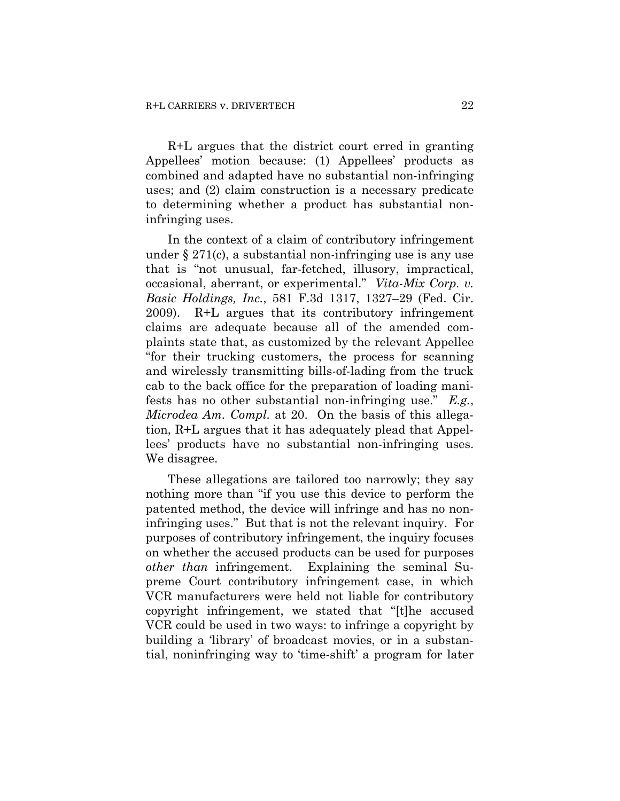R+L argues that the district court erred in granting Appellees' motion because: (1) Appellees' products as combined and adapted have no substantial non-infringing uses; and (2) claim construction is a necessary predicate to determining whether a product has substantial noninfringing uses.

In the context of a claim of contributory infringement under § 271(c), a substantial non-infringing use is any use that is "not unusual, far-fetched, illusory, impractical, occasional, aberrant, or experimental." *Vita-Mix Corp. v. Basic Holdings, Inc.*, 581 F.3d 1317, 1327–29 (Fed. Cir. 2009). R+L argues that its contributory infringement claims are adequate because all of the amended complaints state that, as customized by the relevant Appellee "for their trucking customers, the process for scanning and wirelessly transmitting bills-of-lading from the truck cab to the back office for the preparation of loading manifests has no other substantial non-infringing use." *E.g.*, *Microdea Am. Compl.* at 20. On the basis of this allegation, R+L argues that it has adequately plead that Appellees' products have no substantial non-infringing uses. We disagree.

These allegations are tailored too narrowly; they say nothing more than "if you use this device to perform the patented method, the device will infringe and has no noninfringing uses." But that is not the relevant inquiry. For purposes of contributory infringement, the inquiry focuses on whether the accused products can be used for purposes *other than* infringement. Explaining the seminal Supreme Court contributory infringement case, in which VCR manufacturers were held not liable for contributory copyright infringement, we stated that "[t]he accused VCR could be used in two ways: to infringe a copyright by building a 'library' of broadcast movies, or in a substantial, noninfringing way to 'time-shift' a program for later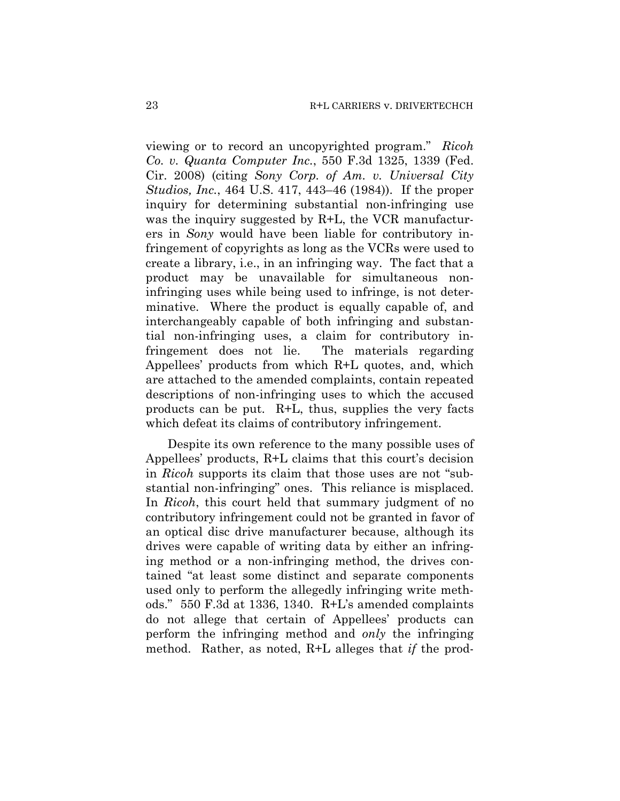viewing or to record an uncopyrighted program." *Ricoh Co. v. Quanta Computer Inc.*, 550 F.3d 1325, 1339 (Fed. Cir. 2008) (citing *Sony Corp. of Am. v. Universal City Studios, Inc.*, 464 U.S. 417, 443–46 (1984)). If the proper inquiry for determining substantial non-infringing use was the inquiry suggested by R+L, the VCR manufacturers in *Sony* would have been liable for contributory infringement of copyrights as long as the VCRs were used to create a library, i.e., in an infringing way. The fact that a product may be unavailable for simultaneous noninfringing uses while being used to infringe, is not determinative. Where the product is equally capable of, and interchangeably capable of both infringing and substantial non-infringing uses, a claim for contributory infringement does not lie. The materials regarding Appellees' products from which R+L quotes, and, which are attached to the amended complaints, contain repeated descriptions of non-infringing uses to which the accused products can be put. R+L, thus, supplies the very facts which defeat its claims of contributory infringement.

Despite its own reference to the many possible uses of Appellees' products, R+L claims that this court's decision in *Ricoh* supports its claim that those uses are not "substantial non-infringing" ones. This reliance is misplaced. In *Ricoh*, this court held that summary judgment of no contributory infringement could not be granted in favor of an optical disc drive manufacturer because, although its drives were capable of writing data by either an infringing method or a non-infringing method, the drives contained "at least some distinct and separate components used only to perform the allegedly infringing write methods." 550 F.3d at 1336, 1340. R+L's amended complaints do not allege that certain of Appellees' products can perform the infringing method and *only* the infringing method. Rather, as noted, R+L alleges that *if* the prod-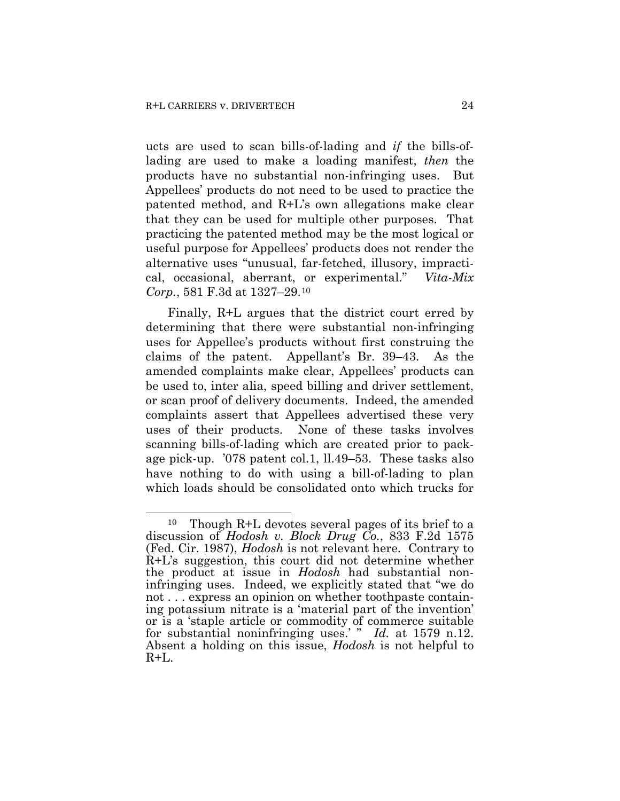ucts are used to scan bills-of-lading and *if* the bills-oflading are used to make a loading manifest, *then* the products have no substantial non-infringing uses. But Appellees' products do not need to be used to practice the patented method, and R+L's own allegations make clear that they can be used for multiple other purposes. That practicing the patented method may be the most logical or useful purpose for Appellees' products does not render the alternative uses "unusual, far-fetched, illusory, impractical, occasional, aberrant, or experimental." *Vita-Mix Corp.*, 581 F.3d at 1327–29.[10](#page-23-0)

Finally, R+L argues that the district court erred by determining that there were substantial non-infringing uses for Appellee's products without first construing the claims of the patent. Appellant's Br. 39–43. As the amended complaints make clear, Appellees' products can be used to, inter alia, speed billing and driver settlement, or scan proof of delivery documents. Indeed, the amended complaints assert that Appellees advertised these very uses of their products. None of these tasks involves scanning bills-of-lading which are created prior to package pick-up. '078 patent col.1, ll.49–53. These tasks also have nothing to do with using a bill-of-lading to plan which loads should be consolidated onto which trucks for

<span id="page-23-0"></span> $\overline{a}$ <sup>10</sup> Though R+L devotes several pages of its brief to a discussion of *Hodosh v. Block Drug Co.*, 833 F.2d 1575 (Fed. Cir. 1987), *Hodosh* is not relevant here. Contrary to R+L's suggestion, this court did not determine whether the product at issue in *Hodosh* had substantial noninfringing uses. Indeed, we explicitly stated that "we do not . . . express an opinion on whether toothpaste containing potassium nitrate is a 'material part of the invention' or is a 'staple article or commodity of commerce suitable for substantial noninfringing uses.' " *Id.* at 1579 n.12. Absent a holding on this issue, *Hodosh* is not helpful to  $R+L$ .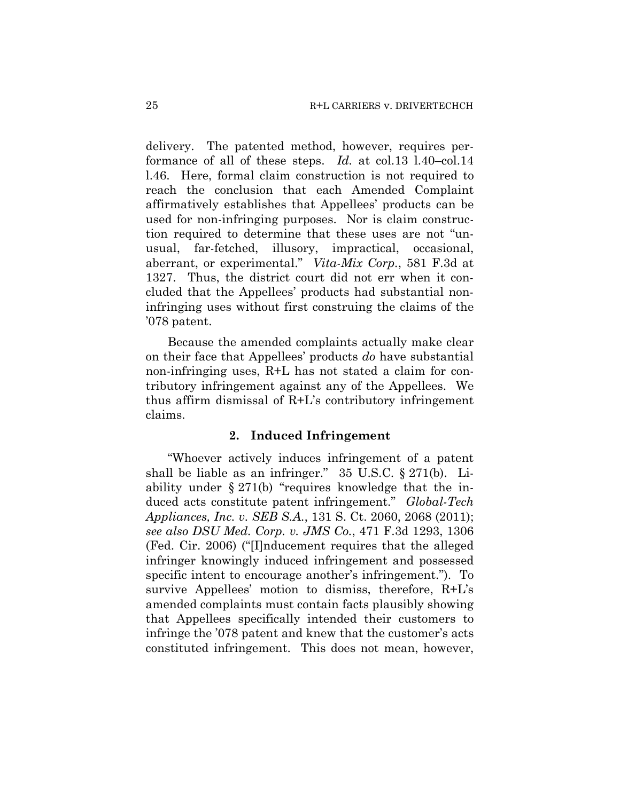delivery. The patented method, however, requires performance of all of these steps. *Id.* at col.13 l.40–col.14 l.46. Here, formal claim construction is not required to reach the conclusion that each Amended Complaint affirmatively establishes that Appellees' products can be used for non-infringing purposes. Nor is claim construction required to determine that these uses are not "unusual, far-fetched, illusory, impractical, occasional, aberrant, or experimental." *Vita-Mix Corp.*, 581 F.3d at 1327. Thus, the district court did not err when it concluded that the Appellees' products had substantial noninfringing uses without first construing the claims of the '078 patent.

Because the amended complaints actually make clear on their face that Appellees' products *do* have substantial non-infringing uses, R+L has not stated a claim for contributory infringement against any of the Appellees. We thus affirm dismissal of R+L's contributory infringement claims.

#### **2. Induced Infringement**

"Whoever actively induces infringement of a patent shall be liable as an infringer." 35 U.S.C. § 271(b). Liability under § 271(b) "requires knowledge that the induced acts constitute patent infringement." *Global-Tech Appliances, Inc. v. SEB S.A.*, 131 S. Ct. 2060, 2068 (2011); *see also DSU Med. Corp. v. JMS Co.*, 471 F.3d 1293, 1306 (Fed. Cir. 2006) ("[I]nducement requires that the alleged infringer knowingly induced infringement and possessed specific intent to encourage another's infringement."). To survive Appellees' motion to dismiss, therefore, R+L's amended complaints must contain facts plausibly showing that Appellees specifically intended their customers to infringe the '078 patent and knew that the customer's acts constituted infringement. This does not mean, however,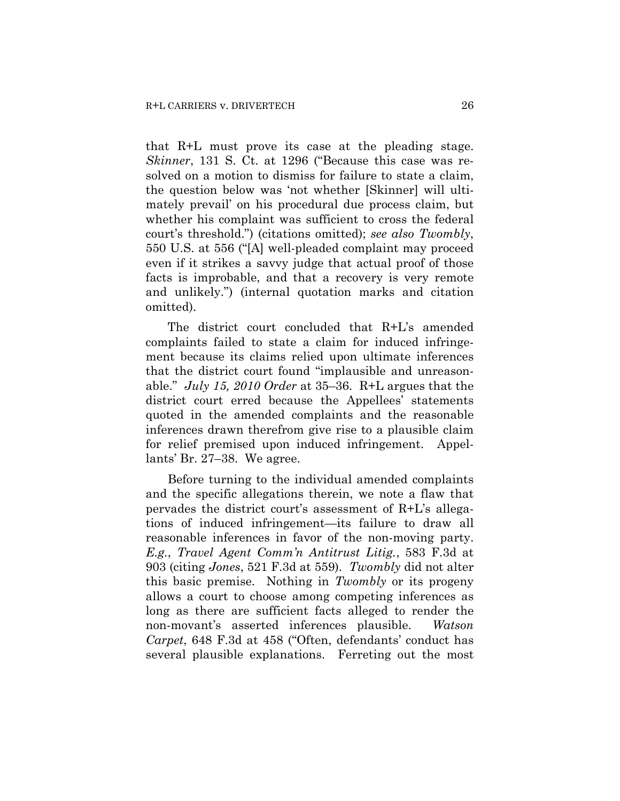that R+L must prove its case at the pleading stage. *Skinner*, 131 S. Ct. at 1296 ("Because this case was resolved on a motion to dismiss for failure to state a claim, the question below was 'not whether [Skinner] will ultimately prevail' on his procedural due process claim, but whether his complaint was sufficient to cross the federal court's threshold.") (citations omitted); *see also Twombly*, 550 U.S. at 556 ("[A] well-pleaded complaint may proceed even if it strikes a savvy judge that actual proof of those facts is improbable, and that a recovery is very remote and unlikely.") (internal quotation marks and citation omitted).

The district court concluded that R+L's amended complaints failed to state a claim for induced infringement because its claims relied upon ultimate inferences that the district court found "implausible and unreasonable." *July 15, 2010 Order* at 35–36. R+L argues that the district court erred because the Appellees' statements quoted in the amended complaints and the reasonable inferences drawn therefrom give rise to a plausible claim for relief premised upon induced infringement. Appellants' Br. 27–38. We agree.

Before turning to the individual amended complaints and the specific allegations therein, we note a flaw that pervades the district court's assessment of R+L's allegations of induced infringement—its failure to draw all reasonable inferences in favor of the non-moving party. *E.g.*, *Travel Agent Comm'n Antitrust Litig.*, 583 F.3d at 903 (citing *Jones*, 521 F.3d at 559). *Twombly* did not alter this basic premise. Nothing in *Twombly* or its progeny allows a court to choose among competing inferences as long as there are sufficient facts alleged to render the non-movant's asserted inferences plausible. *Watson Carpet*, 648 F.3d at 458 ("Often, defendants' conduct has several plausible explanations. Ferreting out the most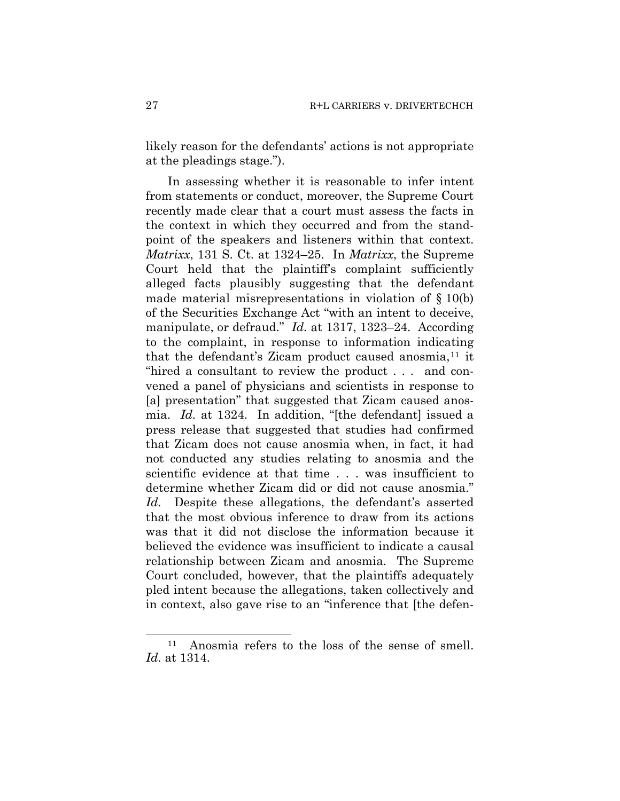likely reason for the defendants' actions is not appropriate at the pleadings stage.").

In assessing whether it is reasonable to infer intent from statements or conduct, moreover, the Supreme Court recently made clear that a court must assess the facts in the context in which they occurred and from the standpoint of the speakers and listeners within that context. *Matrixx*, 131 S. Ct. at 1324–25. In *Matrixx*, the Supreme Court held that the plaintiff's complaint sufficiently alleged facts plausibly suggesting that the defendant made material misrepresentations in violation of § 10(b) of the Securities Exchange Act "with an intent to deceive, manipulate, or defraud." *Id.* at 1317, 1323–24. According to the complaint, in response to information indicating that the defendant's Zicam product caused anosmia, $11$  it "hired a consultant to review the product . . . and convened a panel of physicians and scientists in response to [a] presentation" that suggested that Zicam caused anosmia. *Id.* at 1324. In addition, "[the defendant] issued a press release that suggested that studies had confirmed that Zicam does not cause anosmia when, in fact, it had not conducted any studies relating to anosmia and the scientific evidence at that time . . . was insufficient to determine whether Zicam did or did not cause anosmia." *Id.* Despite these allegations, the defendant's asserted that the most obvious inference to draw from its actions was that it did not disclose the information because it believed the evidence was insufficient to indicate a causal relationship between Zicam and anosmia. The Supreme Court concluded, however, that the plaintiffs adequately pled intent because the allegations, taken collectively and in context, also gave rise to an "inference that [the defen-

 $\overline{a}$ 

<span id="page-26-0"></span><sup>11</sup> Anosmia refers to the loss of the sense of smell. *Id.* at 1314.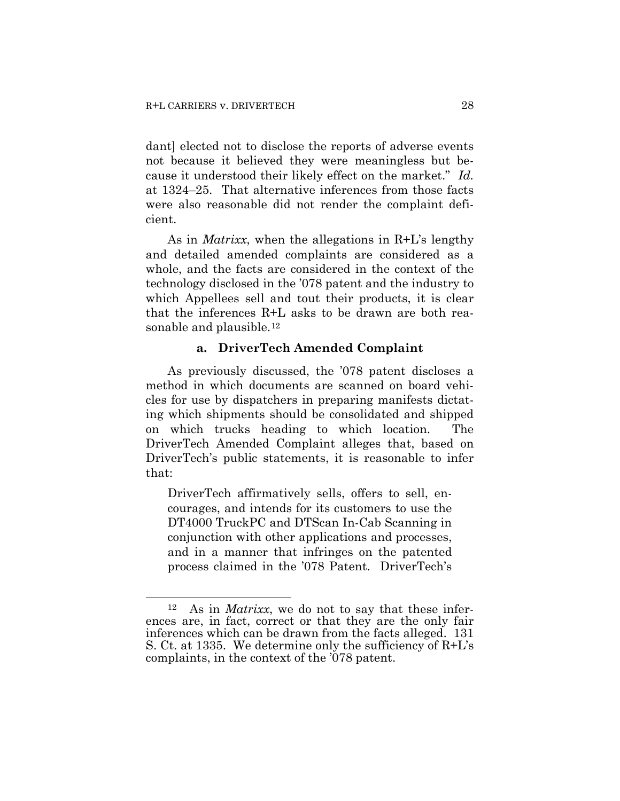dant] elected not to disclose the reports of adverse events not because it believed they were meaningless but because it understood their likely effect on the market." *Id.* at 1324–25. That alternative inferences from those facts were also reasonable did not render the complaint deficient.

As in *Matrixx*, when the allegations in R+L's lengthy and detailed amended complaints are considered as a whole, and the facts are considered in the context of the technology disclosed in the '078 patent and the industry to which Appellees sell and tout their products, it is clear that the inferences R+L asks to be drawn are both rea-sonable and plausible.<sup>[12](#page-27-0)</sup>

# **a. DriverTech Amended Complaint**

As previously discussed, the '078 patent discloses a method in which documents are scanned on board vehicles for use by dispatchers in preparing manifests dictating which shipments should be consolidated and shipped on which trucks heading to which location. The DriverTech Amended Complaint alleges that, based on DriverTech's public statements, it is reasonable to infer that:

DriverTech affirmatively sells, offers to sell, encourages, and intends for its customers to use the DT4000 TruckPC and DTScan In-Cab Scanning in conjunction with other applications and processes, and in a manner that infringes on the patented process claimed in the '078 Patent. DriverTech's

 $\overline{a}$ 

<span id="page-27-0"></span><sup>12</sup> As in *Matrixx*, we do not to say that these inferences are, in fact, correct or that they are the only fair inferences which can be drawn from the facts alleged. 131 S. Ct. at 1335. We determine only the sufficiency of R+L's complaints, in the context of the '078 patent.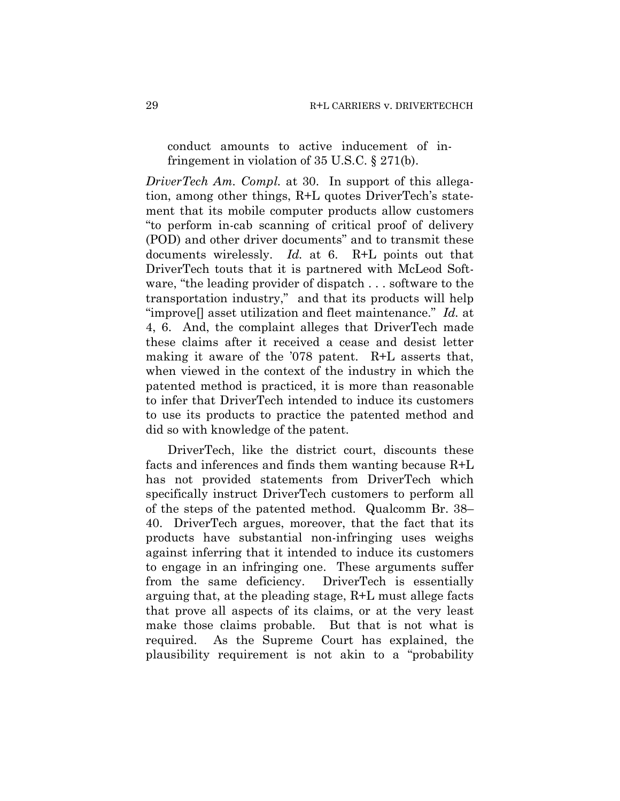conduct amounts to active inducement of infringement in violation of 35 U.S.C. § 271(b).

*DriverTech Am. Compl.* at 30. In support of this allegation, among other things, R+L quotes DriverTech's statement that its mobile computer products allow customers "to perform in-cab scanning of critical proof of delivery (POD) and other driver documents" and to transmit these documents wirelessly. *Id.* at 6. R+L points out that DriverTech touts that it is partnered with McLeod Software, "the leading provider of dispatch . . . software to the transportation industry," and that its products will help "improve[] asset utilization and fleet maintenance." *Id.* at 4, 6. And, the complaint alleges that DriverTech made these claims after it received a cease and desist letter making it aware of the '078 patent. R+L asserts that, when viewed in the context of the industry in which the patented method is practiced, it is more than reasonable to infer that DriverTech intended to induce its customers to use its products to practice the patented method and did so with knowledge of the patent.

DriverTech, like the district court, discounts these facts and inferences and finds them wanting because R+L has not provided statements from DriverTech which specifically instruct DriverTech customers to perform all of the steps of the patented method. Qualcomm Br. 38– 40. DriverTech argues, moreover, that the fact that its products have substantial non-infringing uses weighs against inferring that it intended to induce its customers to engage in an infringing one. These arguments suffer from the same deficiency. DriverTech is essentially arguing that, at the pleading stage, R+L must allege facts that prove all aspects of its claims, or at the very least make those claims probable. But that is not what is required. As the Supreme Court has explained, the plausibility requirement is not akin to a "probability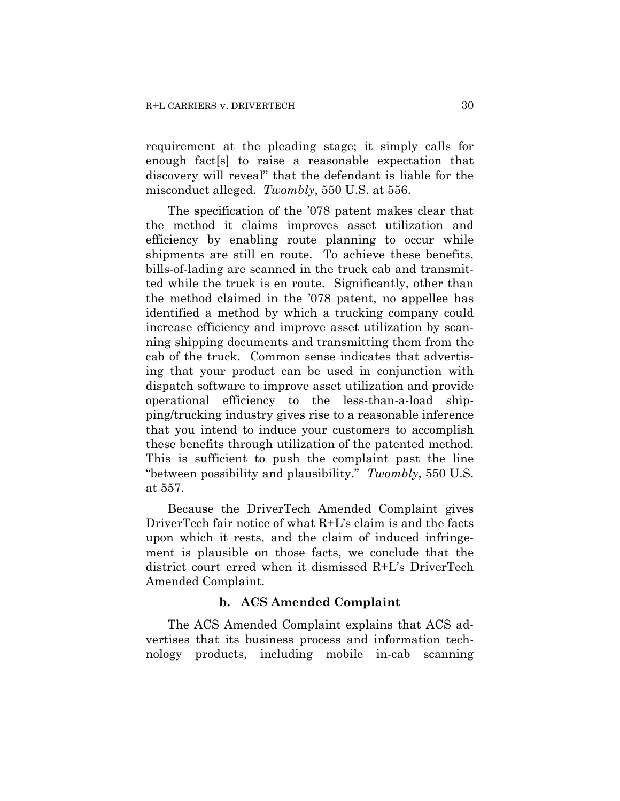requirement at the pleading stage; it simply calls for enough fact[s] to raise a reasonable expectation that discovery will reveal" that the defendant is liable for the misconduct alleged. *Twombly*, 550 U.S. at 556.

The specification of the '078 patent makes clear that the method it claims improves asset utilization and efficiency by enabling route planning to occur while shipments are still en route. To achieve these benefits, bills-of-lading are scanned in the truck cab and transmitted while the truck is en route. Significantly, other than the method claimed in the '078 patent, no appellee has identified a method by which a trucking company could increase efficiency and improve asset utilization by scanning shipping documents and transmitting them from the cab of the truck. Common sense indicates that advertising that your product can be used in conjunction with dispatch software to improve asset utilization and provide operational efficiency to the less-than-a-load shipping/trucking industry gives rise to a reasonable inference that you intend to induce your customers to accomplish these benefits through utilization of the patented method. This is sufficient to push the complaint past the line "between possibility and plausibility." *Twombly*, 550 U.S. at 557.

Because the DriverTech Amended Complaint gives DriverTech fair notice of what R+L's claim is and the facts upon which it rests, and the claim of induced infringement is plausible on those facts, we conclude that the district court erred when it dismissed R+L's DriverTech Amended Complaint.

# **b. ACS Amended Complaint**

The ACS Amended Complaint explains that ACS advertises that its business process and information technology products, including mobile in-cab scanning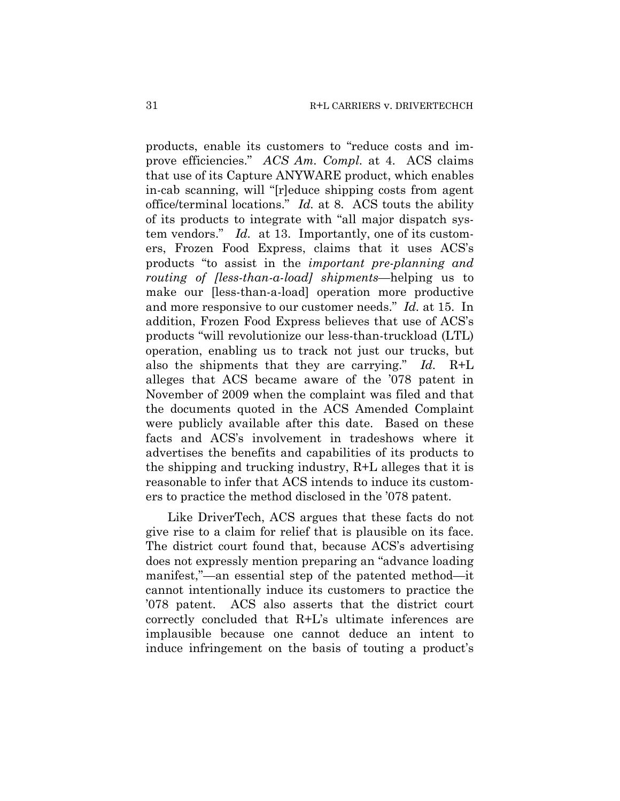products, enable its customers to "reduce costs and improve efficiencies." *ACS Am. Compl.* at 4. ACS claims that use of its Capture ANYWARE product, which enables in-cab scanning, will "[r]educe shipping costs from agent office/terminal locations." *Id.* at 8. ACS touts the ability of its products to integrate with "all major dispatch system vendors." *Id.* at 13. Importantly, one of its customers, Frozen Food Express, claims that it uses ACS's products "to assist in the *important pre-planning and routing of [less-than-a-load] shipments*—helping us to make our [less-than-a-load] operation more productive and more responsive to our customer needs." *Id.* at 15. In addition, Frozen Food Express believes that use of ACS's products "will revolutionize our less-than-truckload (LTL) operation, enabling us to track not just our trucks, but also the shipments that they are carrying." *Id.* R+L alleges that ACS became aware of the '078 patent in November of 2009 when the complaint was filed and that the documents quoted in the ACS Amended Complaint were publicly available after this date. Based on these facts and ACS's involvement in tradeshows where it advertises the benefits and capabilities of its products to the shipping and trucking industry, R+L alleges that it is reasonable to infer that ACS intends to induce its customers to practice the method disclosed in the '078 patent.

Like DriverTech, ACS argues that these facts do not give rise to a claim for relief that is plausible on its face. The district court found that, because ACS's advertising does not expressly mention preparing an "advance loading manifest,"—an essential step of the patented method—it cannot intentionally induce its customers to practice the '078 patent. ACS also asserts that the district court correctly concluded that R+L's ultimate inferences are implausible because one cannot deduce an intent to induce infringement on the basis of touting a product's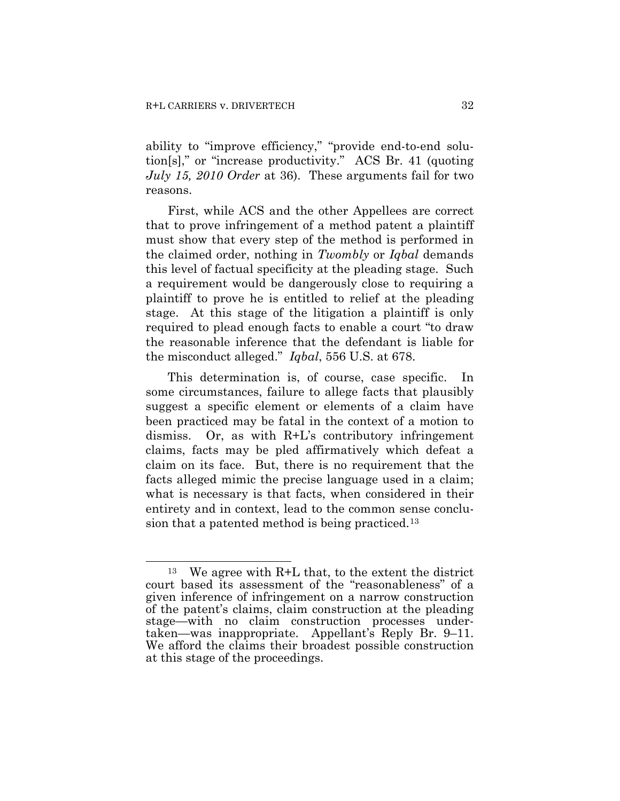ability to "improve efficiency," "provide end-to-end solution[s]," or "increase productivity." ACS Br. 41 (quoting *July 15, 2010 Order* at 36). These arguments fail for two reasons.

First, while ACS and the other Appellees are correct that to prove infringement of a method patent a plaintiff must show that every step of the method is performed in the claimed order, nothing in *Twombly* or *Iqbal* demands this level of factual specificity at the pleading stage. Such a requirement would be dangerously close to requiring a plaintiff to prove he is entitled to relief at the pleading stage. At this stage of the litigation a plaintiff is only required to plead enough facts to enable a court "to draw the reasonable inference that the defendant is liable for the misconduct alleged." *Iqbal*, 556 U.S. at 678.

This determination is, of course, case specific. In some circumstances, failure to allege facts that plausibly suggest a specific element or elements of a claim have been practiced may be fatal in the context of a motion to dismiss. Or, as with R+L's contributory infringement claims, facts may be pled affirmatively which defeat a claim on its face. But, there is no requirement that the facts alleged mimic the precise language used in a claim; what is necessary is that facts, when considered in their entirety and in context, lead to the common sense conclusion that a patented method is being practiced.[13](#page-31-0)

<span id="page-31-0"></span> $\overline{a}$ <sup>13</sup> We agree with R+L that, to the extent the district court based its assessment of the "reasonableness" of a given inference of infringement on a narrow construction of the patent's claims, claim construction at the pleading stage—with no claim construction processes undertaken—was inappropriate. Appellant's Reply Br. 9–11. We afford the claims their broadest possible construction at this stage of the proceedings.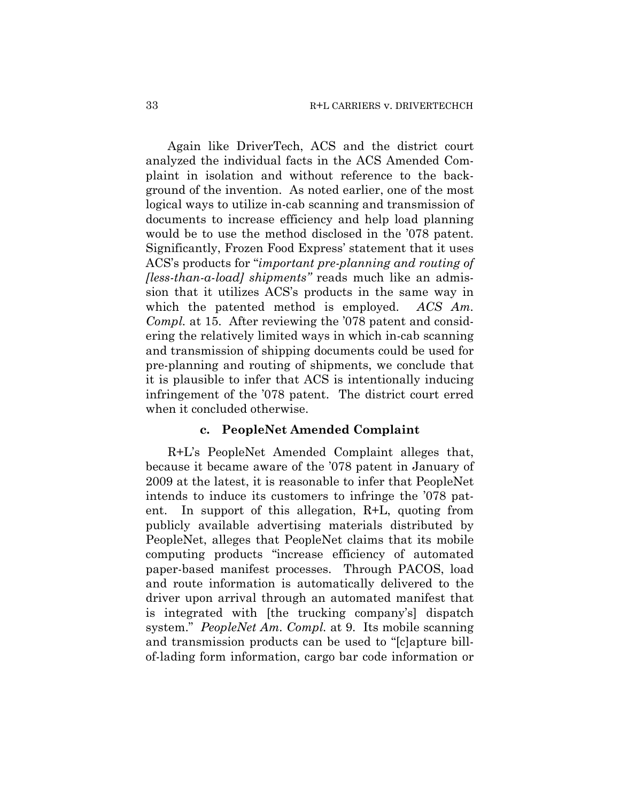Again like DriverTech, ACS and the district court analyzed the individual facts in the ACS Amended Complaint in isolation and without reference to the background of the invention. As noted earlier, one of the most logical ways to utilize in-cab scanning and transmission of documents to increase efficiency and help load planning would be to use the method disclosed in the '078 patent. Significantly, Frozen Food Express' statement that it uses ACS's products for "*important pre-planning and routing of [less-than-a-load] shipments"* reads much like an admission that it utilizes ACS's products in the same way in which the patented method is employed. *ACS Am. Compl.* at 15. After reviewing the '078 patent and considering the relatively limited ways in which in-cab scanning and transmission of shipping documents could be used for pre-planning and routing of shipments, we conclude that it is plausible to infer that ACS is intentionally inducing infringement of the '078 patent. The district court erred when it concluded otherwise.

#### **c. PeopleNet Amended Complaint**

R+L's PeopleNet Amended Complaint alleges that, because it became aware of the '078 patent in January of 2009 at the latest, it is reasonable to infer that PeopleNet intends to induce its customers to infringe the '078 patent. In support of this allegation, R+L, quoting from publicly available advertising materials distributed by PeopleNet, alleges that PeopleNet claims that its mobile computing products "increase efficiency of automated paper-based manifest processes. Through PACOS, load and route information is automatically delivered to the driver upon arrival through an automated manifest that is integrated with [the trucking company's] dispatch system." *PeopleNet Am. Compl.* at 9. Its mobile scanning and transmission products can be used to "[c]apture billof-lading form information, cargo bar code information or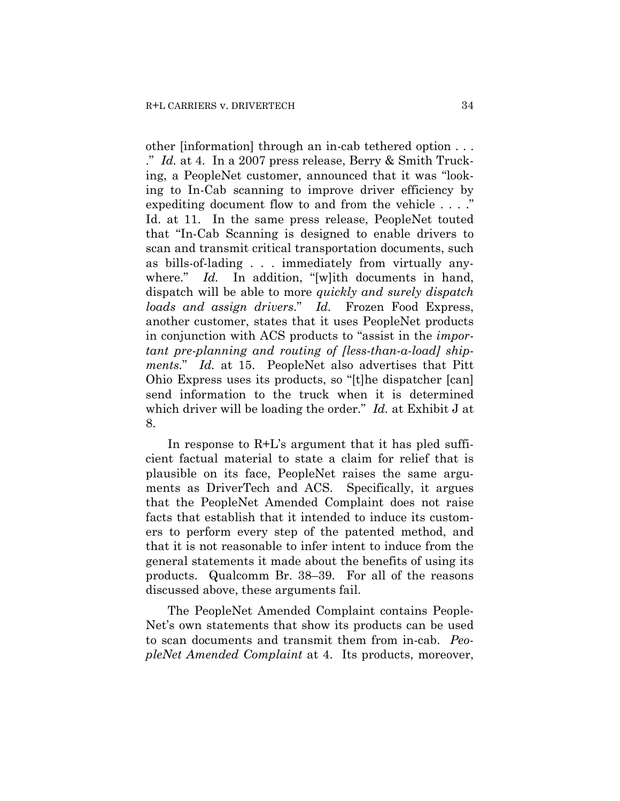other [information] through an in-cab tethered option . . . ." *Id.* at 4. In a 2007 press release, Berry & Smith Trucking, a PeopleNet customer, announced that it was "looking to In-Cab scanning to improve driver efficiency by expediting document flow to and from the vehicle . . . ." Id. at 11. In the same press release, PeopleNet touted that "In-Cab Scanning is designed to enable drivers to scan and transmit critical transportation documents, such as bills-of-lading . . . immediately from virtually anywhere." *Id.* In addition, "[w]ith documents in hand, dispatch will be able to more *quickly and surely dispatch loads and assign drivers*." *Id.* Frozen Food Express, another customer, states that it uses PeopleNet products in conjunction with ACS products to "assist in the *important pre-planning and routing of [less-than-a-load] shipments.*" *Id.* at 15. PeopleNet also advertises that Pitt Ohio Express uses its products, so "[t]he dispatcher [can] send information to the truck when it is determined which driver will be loading the order." *Id.* at Exhibit J at 8.

In response to R+L's argument that it has pled sufficient factual material to state a claim for relief that is plausible on its face, PeopleNet raises the same arguments as DriverTech and ACS. Specifically, it argues that the PeopleNet Amended Complaint does not raise facts that establish that it intended to induce its customers to perform every step of the patented method, and that it is not reasonable to infer intent to induce from the general statements it made about the benefits of using its products. Qualcomm Br. 38–39. For all of the reasons discussed above, these arguments fail.

The PeopleNet Amended Complaint contains People-Net's own statements that show its products can be used to scan documents and transmit them from in-cab. *PeopleNet Amended Complaint* at 4. Its products, moreover,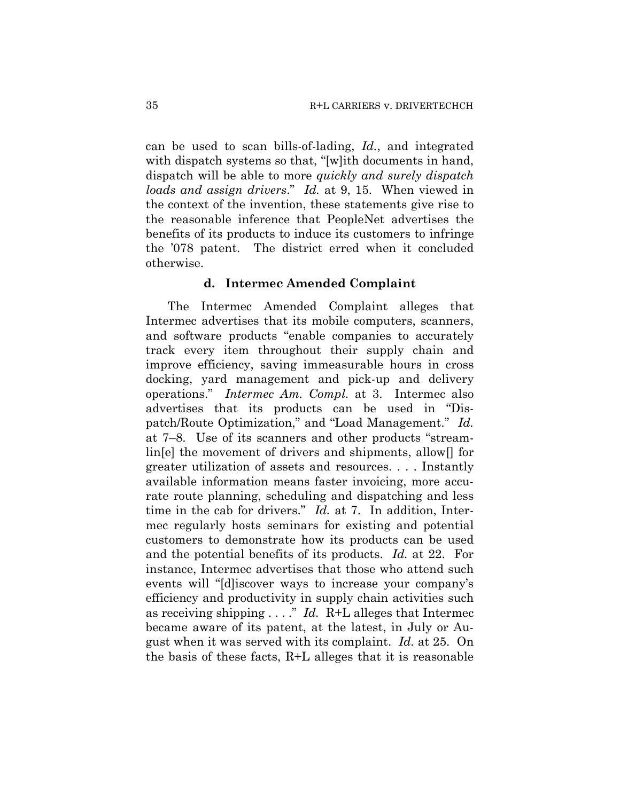can be used to scan bills-of-lading, *Id.*, and integrated with dispatch systems so that, "[w]ith documents in hand, dispatch will be able to more *quickly and surely dispatch loads and assign drivers*." *Id.* at 9, 15. When viewed in the context of the invention, these statements give rise to the reasonable inference that PeopleNet advertises the benefits of its products to induce its customers to infringe the '078 patent. The district erred when it concluded otherwise.

## **d. Intermec Amended Complaint**

The Intermec Amended Complaint alleges that Intermec advertises that its mobile computers, scanners, and software products "enable companies to accurately track every item throughout their supply chain and improve efficiency, saving immeasurable hours in cross docking, yard management and pick-up and delivery operations." *Intermec Am. Compl.* at 3. Intermec also advertises that its products can be used in "Dispatch/Route Optimization," and "Load Management." *Id.* at 7–8. Use of its scanners and other products "streamlin[e] the movement of drivers and shipments, allow[] for greater utilization of assets and resources. . . . Instantly available information means faster invoicing, more accurate route planning, scheduling and dispatching and less time in the cab for drivers." *Id.* at 7. In addition, Intermec regularly hosts seminars for existing and potential customers to demonstrate how its products can be used and the potential benefits of its products. *Id.* at 22. For instance, Intermec advertises that those who attend such events will "[d]iscover ways to increase your company's efficiency and productivity in supply chain activities such as receiving shipping . . . ." *Id.* R+L alleges that Intermec became aware of its patent, at the latest, in July or August when it was served with its complaint. *Id.* at 25. On the basis of these facts, R+L alleges that it is reasonable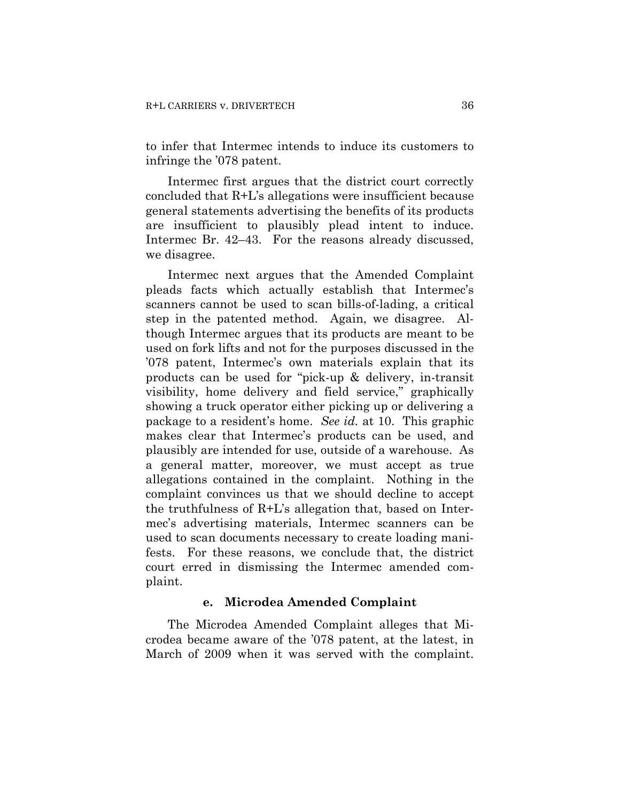to infer that Intermec intends to induce its customers to infringe the '078 patent.

Intermec first argues that the district court correctly concluded that R+L's allegations were insufficient because general statements advertising the benefits of its products are insufficient to plausibly plead intent to induce. Intermec Br. 42–43. For the reasons already discussed, we disagree.

Intermec next argues that the Amended Complaint pleads facts which actually establish that Intermec's scanners cannot be used to scan bills-of-lading, a critical step in the patented method. Again, we disagree. Although Intermec argues that its products are meant to be used on fork lifts and not for the purposes discussed in the '078 patent, Intermec's own materials explain that its products can be used for "pick-up & delivery, in-transit visibility, home delivery and field service," graphically showing a truck operator either picking up or delivering a package to a resident's home. *See id.* at 10. This graphic makes clear that Intermec's products can be used, and plausibly are intended for use, outside of a warehouse. As a general matter, moreover, we must accept as true allegations contained in the complaint. Nothing in the complaint convinces us that we should decline to accept the truthfulness of R+L's allegation that, based on Intermec's advertising materials, Intermec scanners can be used to scan documents necessary to create loading manifests. For these reasons, we conclude that, the district court erred in dismissing the Intermec amended complaint.

# **e. Microdea Amended Complaint**

The Microdea Amended Complaint alleges that Microdea became aware of the '078 patent, at the latest, in March of 2009 when it was served with the complaint.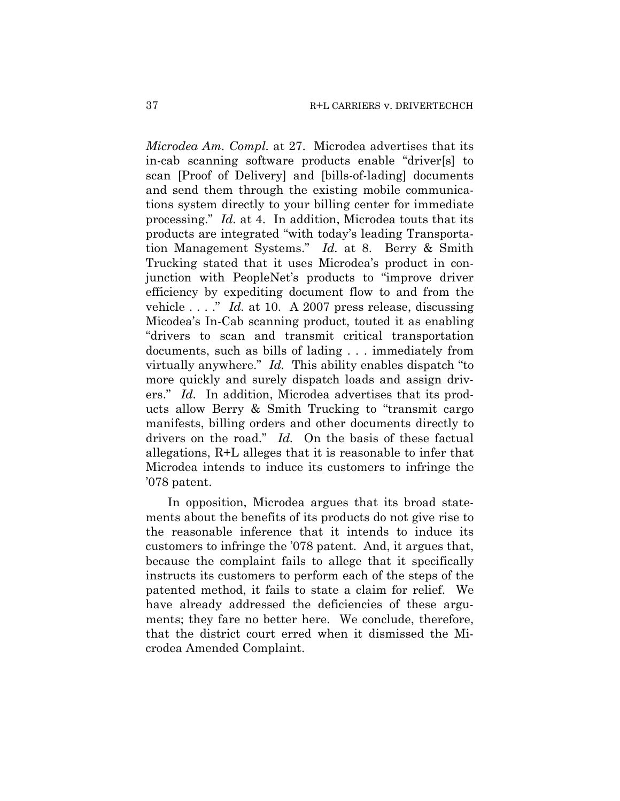*Microdea Am. Compl.* at 27. Microdea advertises that its in-cab scanning software products enable "driver[s] to scan [Proof of Delivery] and [bills-of-lading] documents and send them through the existing mobile communications system directly to your billing center for immediate processing." *Id.* at 4. In addition, Microdea touts that its products are integrated "with today's leading Transportation Management Systems." *Id.* at 8. Berry & Smith Trucking stated that it uses Microdea's product in conjunction with PeopleNet's products to "improve driver efficiency by expediting document flow to and from the vehicle . . . ." *Id.* at 10. A 2007 press release, discussing Micodea's In-Cab scanning product, touted it as enabling "drivers to scan and transmit critical transportation documents, such as bills of lading . . . immediately from virtually anywhere." *Id.* This ability enables dispatch "to more quickly and surely dispatch loads and assign drivers." *Id.* In addition, Microdea advertises that its products allow Berry & Smith Trucking to "transmit cargo manifests, billing orders and other documents directly to drivers on the road." *Id.* On the basis of these factual allegations, R+L alleges that it is reasonable to infer that Microdea intends to induce its customers to infringe the '078 patent.

In opposition, Microdea argues that its broad statements about the benefits of its products do not give rise to the reasonable inference that it intends to induce its customers to infringe the '078 patent. And, it argues that, because the complaint fails to allege that it specifically instructs its customers to perform each of the steps of the patented method, it fails to state a claim for relief. We have already addressed the deficiencies of these arguments; they fare no better here. We conclude, therefore, that the district court erred when it dismissed the Microdea Amended Complaint.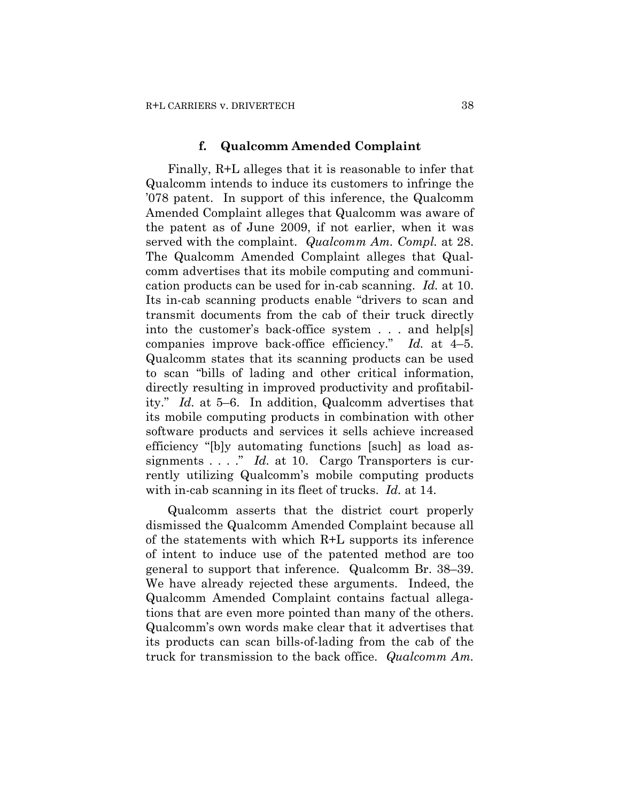#### **f. Qualcomm Amended Complaint**

Finally, R+L alleges that it is reasonable to infer that Qualcomm intends to induce its customers to infringe the '078 patent. In support of this inference, the Qualcomm Amended Complaint alleges that Qualcomm was aware of the patent as of June 2009, if not earlier, when it was served with the complaint. *Qualcomm Am. Compl.* at 28. The Qualcomm Amended Complaint alleges that Qualcomm advertises that its mobile computing and communication products can be used for in-cab scanning. *Id.* at 10. Its in-cab scanning products enable "drivers to scan and transmit documents from the cab of their truck directly into the customer's back-office system . . . and help[s] companies improve back-office efficiency." *Id.* at 4–5. Qualcomm states that its scanning products can be used to scan "bills of lading and other critical information, directly resulting in improved productivity and profitability." *Id.* at 5–6. In addition, Qualcomm advertises that its mobile computing products in combination with other software products and services it sells achieve increased efficiency "[b]y automating functions [such] as load assignments . . . ." *Id.* at 10. Cargo Transporters is currently utilizing Qualcomm's mobile computing products with in-cab scanning in its fleet of trucks. *Id.* at 14.

Qualcomm asserts that the district court properly dismissed the Qualcomm Amended Complaint because all of the statements with which R+L supports its inference of intent to induce use of the patented method are too general to support that inference. Qualcomm Br. 38–39. We have already rejected these arguments. Indeed, the Qualcomm Amended Complaint contains factual allegations that are even more pointed than many of the others. Qualcomm's own words make clear that it advertises that its products can scan bills-of-lading from the cab of the truck for transmission to the back office. *Qualcomm Am.*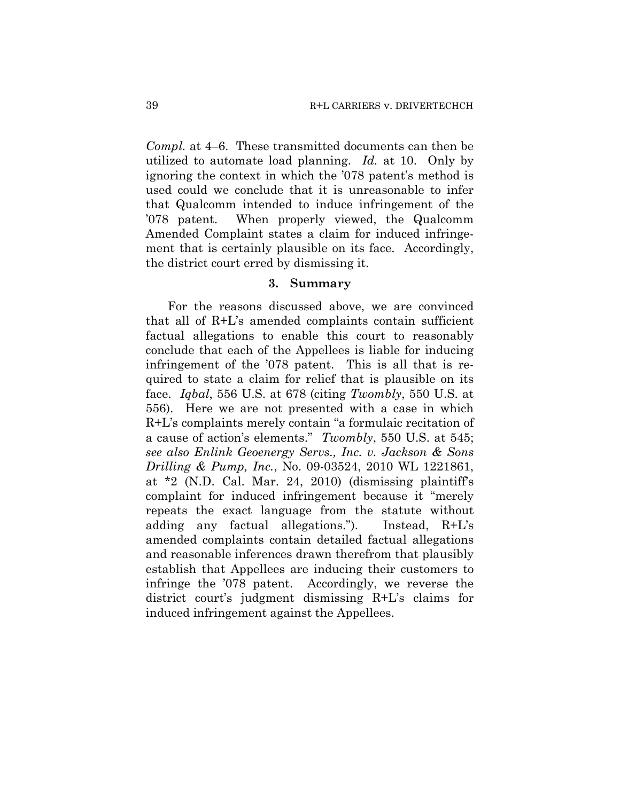*Compl.* at 4–6. These transmitted documents can then be utilized to automate load planning. *Id.* at 10. Only by ignoring the context in which the '078 patent's method is used could we conclude that it is unreasonable to infer that Qualcomm intended to induce infringement of the '078 patent. When properly viewed, the Qualcomm Amended Complaint states a claim for induced infringement that is certainly plausible on its face. Accordingly, the district court erred by dismissing it.

# **3. Summary**

For the reasons discussed above, we are convinced that all of R+L's amended complaints contain sufficient factual allegations to enable this court to reasonably conclude that each of the Appellees is liable for inducing infringement of the '078 patent. This is all that is required to state a claim for relief that is plausible on its face. *Iqbal*, 556 U.S. at 678 (citing *Twombly*, 550 U.S. at 556). Here we are not presented with a case in which R+L's complaints merely contain "a formulaic recitation of a cause of action's elements." *Twombly*, 550 U.S. at 545; *see also Enlink Geoenergy Servs., Inc. v. Jackson & Sons Drilling & Pump, Inc.*, No. 09-03524, 2010 WL 1221861, at \*2 (N.D. Cal. Mar. 24, 2010) (dismissing plaintiff's complaint for induced infringement because it "merely repeats the exact language from the statute without adding any factual allegations."). Instead, R+L's amended complaints contain detailed factual allegations and reasonable inferences drawn therefrom that plausibly establish that Appellees are inducing their customers to infringe the '078 patent. Accordingly, we reverse the district court's judgment dismissing R+L's claims for induced infringement against the Appellees.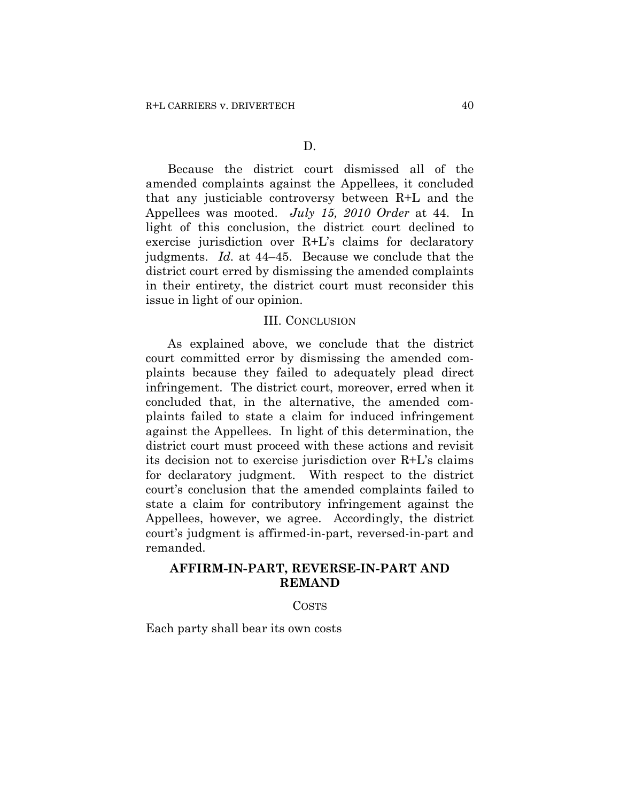Because the district court dismissed all of the amended complaints against the Appellees, it concluded that any justiciable controversy between R+L and the Appellees was mooted. *July 15, 2010 Order* at 44. In light of this conclusion, the district court declined to exercise jurisdiction over R+L's claims for declaratory judgments. *Id.* at 44–45. Because we conclude that the district court erred by dismissing the amended complaints in their entirety, the district court must reconsider this issue in light of our opinion.

#### III. CONCLUSION

As explained above, we conclude that the district court committed error by dismissing the amended complaints because they failed to adequately plead direct infringement. The district court, moreover, erred when it concluded that, in the alternative, the amended complaints failed to state a claim for induced infringement against the Appellees. In light of this determination, the district court must proceed with these actions and revisit its decision not to exercise jurisdiction over R+L's claims for declaratory judgment. With respect to the district court's conclusion that the amended complaints failed to state a claim for contributory infringement against the Appellees, however, we agree. Accordingly, the district court's judgment is affirmed-in-part, reversed-in-part and remanded.

# **AFFIRM-IN-PART, REVERSE-IN-PART AND REMAND**

COSTS

Each party shall bear its own costs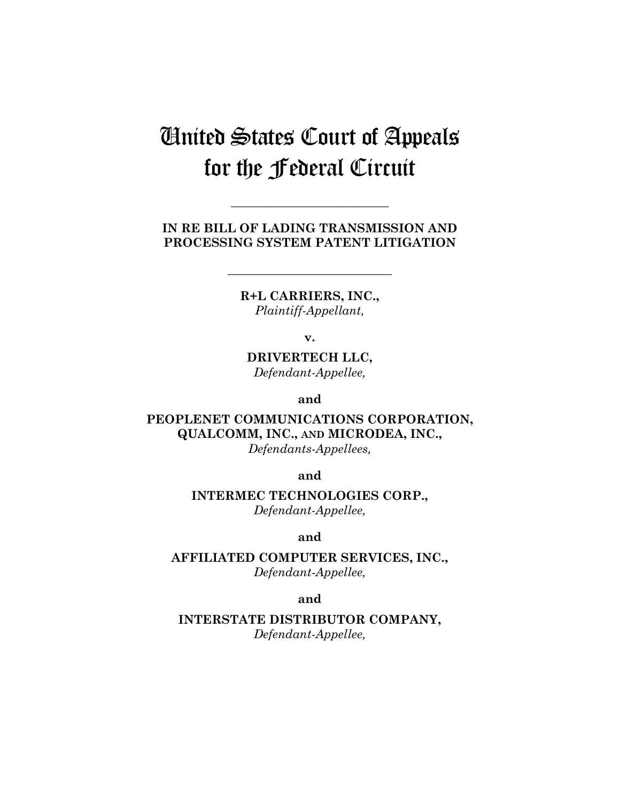# United States Court of Appeals for the Federal Circuit

**IN RE BILL OF LADING TRANSMISSION AND PROCESSING SYSTEM PATENT LITIGATION** 

**\_\_\_\_\_\_\_\_\_\_\_\_\_\_\_\_\_\_\_\_\_\_\_\_\_\_** 

**R+L CARRIERS, INC.,**  *Plaintiff-Appellant,* 

**\_\_\_\_\_\_\_\_\_\_\_\_\_\_\_\_\_\_\_\_\_\_\_\_\_\_\_** 

**v.** 

**DRIVERTECH LLC,**  *Defendant-Appellee,* 

**and** 

**PEOPLENET COMMUNICATIONS CORPORATION, QUALCOMM, INC., AND MICRODEA, INC.,**  *Defendants-Appellees,* 

**and** 

**INTERMEC TECHNOLOGIES CORP.,**  *Defendant-Appellee,* 

**and** 

**AFFILIATED COMPUTER SERVICES, INC.,**  *Defendant-Appellee,* 

**and** 

**INTERSTATE DISTRIBUTOR COMPANY,**  *Defendant-Appellee,*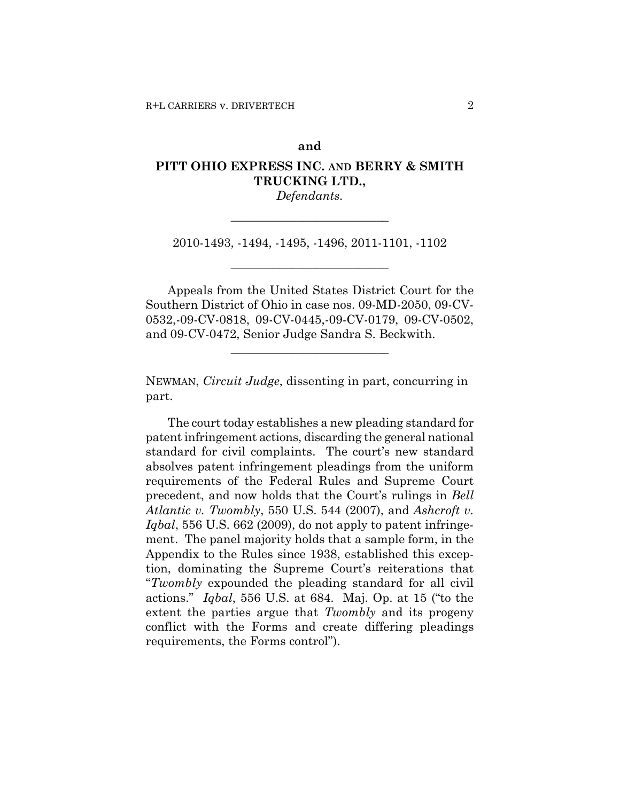#### **and**

# **PITT OHIO EXPRESS INC. AND BERRY & SMITH TRUCKING LTD.,**

*Defendants.*  **\_\_\_\_\_\_\_\_\_\_\_\_\_\_\_\_\_\_\_\_\_\_\_\_\_\_** 

2010-1493, -1494, -1495, -1496, 2011-1101, -1102

**\_\_\_\_\_\_\_\_\_\_\_\_\_\_\_\_\_\_\_\_\_\_\_\_\_\_** 

Appeals from the United States District Court for the Southern District of Ohio in case nos. 09-MD-2050, 09-CV-0532,-09-CV-0818, 09-CV-0445,-09-CV-0179, 09-CV-0502, and 09-CV-0472, Senior Judge Sandra S. Beckwith.

**\_\_\_\_\_\_\_\_\_\_\_\_\_\_\_\_\_\_\_\_\_\_\_\_\_\_** 

NEWMAN, *Circuit Judge*, dissenting in part, concurring in part.

The court today establishes a new pleading standard for patent infringement actions, discarding the general national standard for civil complaints. The court's new standard absolves patent infringement pleadings from the uniform requirements of the Federal Rules and Supreme Court precedent, and now holds that the Court's rulings in *Bell Atlantic v. Twombly*, 550 U.S. 544 (2007), and *Ashcroft v. Iqbal*, 556 U.S. 662 (2009), do not apply to patent infringement. The panel majority holds that a sample form, in the Appendix to the Rules since 1938, established this exception, dominating the Supreme Court's reiterations that "*Twombly* expounded the pleading standard for all civil actions." *Iqbal*, 556 U.S. at 684. Maj. Op. at 15 ("to the extent the parties argue that *Twombly* and its progeny conflict with the Forms and create differing pleadings requirements, the Forms control").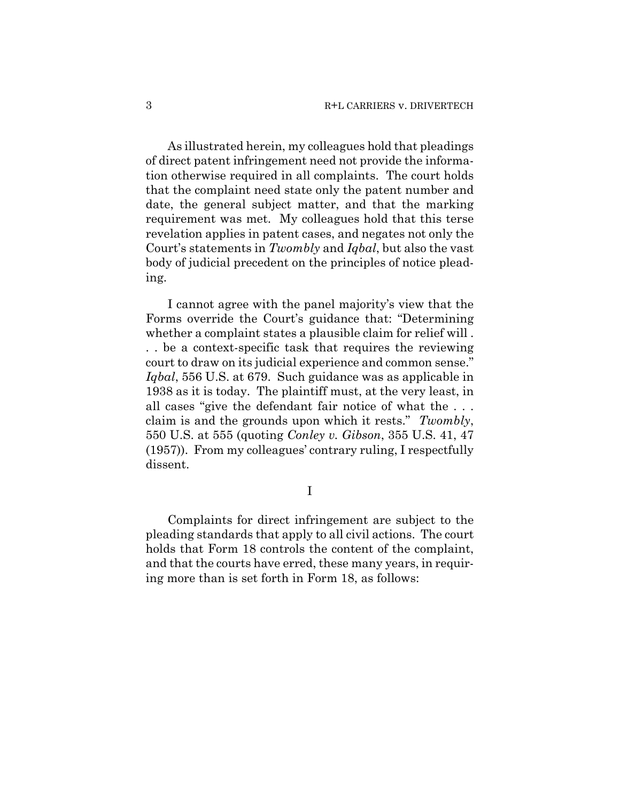As illustrated herein, my colleagues hold that pleadings of direct patent infringement need not provide the information otherwise required in all complaints. The court holds that the complaint need state only the patent number and date, the general subject matter, and that the marking requirement was met. My colleagues hold that this terse revelation applies in patent cases, and negates not only the Court's statements in *Twombly* and *Iqbal*, but also the vast body of judicial precedent on the principles of notice pleading.

I cannot agree with the panel majority's view that the Forms override the Court's guidance that: "Determining whether a complaint states a plausible claim for relief will . . . be a context-specific task that requires the reviewing court to draw on its judicial experience and common sense." *Iqbal*, 556 U.S. at 679. Such guidance was as applicable in 1938 as it is today. The plaintiff must, at the very least, in all cases "give the defendant fair notice of what the . . . claim is and the grounds upon which it rests." *Twombly*, 550 U.S. at 555 (quoting *Conley v. Gibson*, 355 U.S. 41, 47 (1957)). From my colleagues' contrary ruling, I respectfully dissent.

I

Complaints for direct infringement are subject to the pleading standards that apply to all civil actions. The court holds that Form 18 controls the content of the complaint, and that the courts have erred, these many years, in requiring more than is set forth in Form 18, as follows: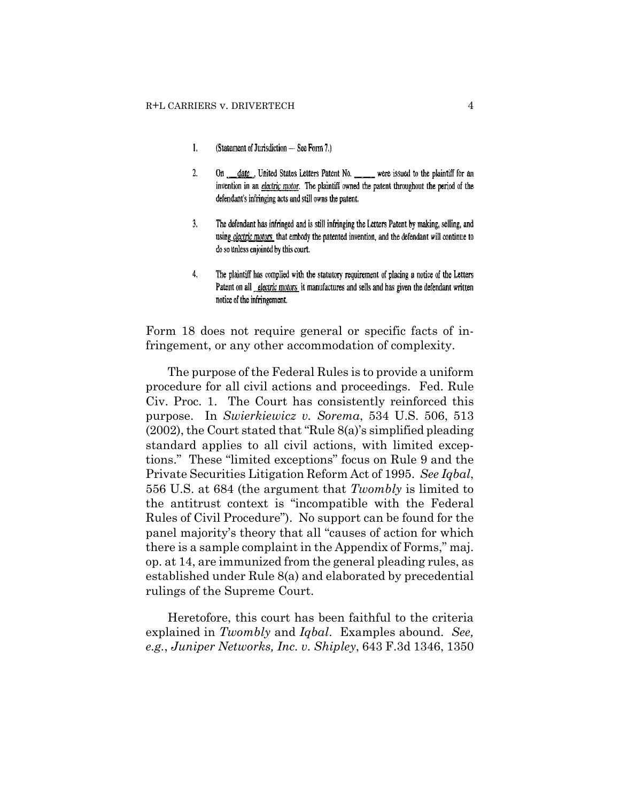- $\mathbf{I}$ . (Statement of Jurisdiction - See Form 7.)
- $2.$ On date, United States Letters Patent No. were issued to the plaintiff for an invention in an *electric motor*. The plaintiff owned the patent throughout the period of the defendant's infringing acts and still owns the patent.
- 3. The defendant has infringed and is still infringing the Letters Patent by making, selling, and using electric motors, that embody the patented invention, and the defendant will continue to do so unless enjoined by this court.
- $4<sub>1</sub>$ The plaintiff has complied with the statutory requirement of placing a notice of the Letters Patent on all electric motors it manufactures and sells and has given the defendant written notice of the infringement.

Form 18 does not require general or specific facts of infringement, or any other accommodation of complexity.

The purpose of the Federal Rules is to provide a uniform procedure for all civil actions and proceedings. Fed. Rule Civ. Proc. 1. The Court has consistently reinforced this purpose. In *Swierkiewicz v. Sorema*, 534 U.S. 506, 513 (2002), the Court stated that "Rule 8(a)'s simplified pleading standard applies to all civil actions, with limited exceptions." These "limited exceptions" focus on Rule 9 and the Private Securities Litigation Reform Act of 1995. *See Iqbal*, 556 U.S. at 684 (the argument that *Twombly* is limited to the antitrust context is "incompatible with the Federal Rules of Civil Procedure"). No support can be found for the panel majority's theory that all "causes of action for which there is a sample complaint in the Appendix of Forms," maj. op. at 14, are immunized from the general pleading rules, as established under Rule 8(a) and elaborated by precedential rulings of the Supreme Court.

Heretofore, this court has been faithful to the criteria explained in *Twombly* and *Iqbal*. Examples abound. *See, e.g.*, *Juniper Networks, Inc. v. Shipley*, 643 F.3d 1346, 1350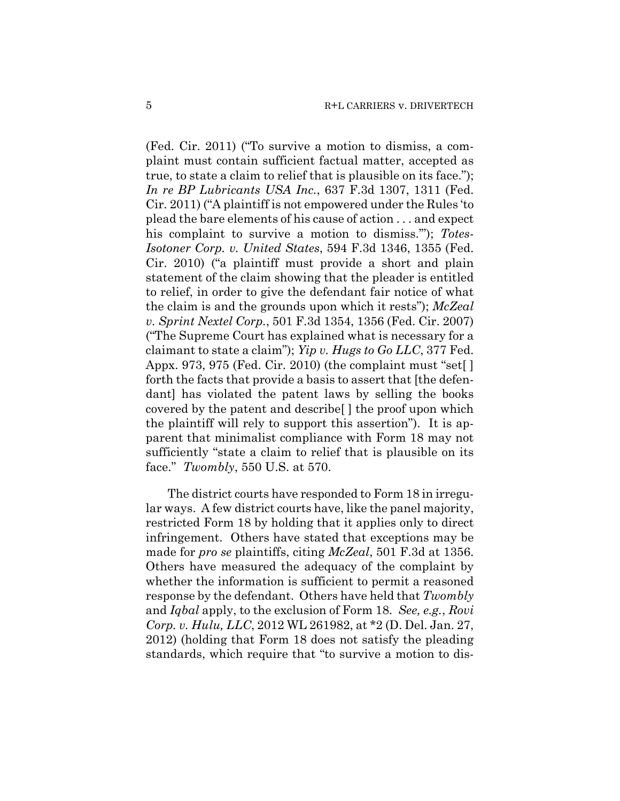(Fed. Cir. 2011) ("To survive a motion to dismiss, a complaint must contain sufficient factual matter, accepted as true, to state a claim to relief that is plausible on its face."); *In re BP Lubricants USA Inc.*, 637 F.3d 1307, 1311 (Fed. Cir. 2011) ("A plaintiff is not empowered under the Rules 'to plead the bare elements of his cause of action . . . and expect his complaint to survive a motion to dismiss.'"); *Totes-Isotoner Corp. v. United States*, 594 F.3d 1346, 1355 (Fed. Cir. 2010) ("a plaintiff must provide a short and plain statement of the claim showing that the pleader is entitled to relief, in order to give the defendant fair notice of what the claim is and the grounds upon which it rests"); *McZeal v. Sprint Nextel Corp.*, 501 F.3d 1354, 1356 (Fed. Cir. 2007) ("The Supreme Court has explained what is necessary for a claimant to state a claim"); *Yip v. Hugs to Go LLC*, 377 Fed. Appx. 973, 975 (Fed. Cir. 2010) (the complaint must "set[ ] forth the facts that provide a basis to assert that [the defendant] has violated the patent laws by selling the books covered by the patent and describe[ ] the proof upon which the plaintiff will rely to support this assertion"). It is apparent that minimalist compliance with Form 18 may not sufficiently "state a claim to relief that is plausible on its face." *Twombly*, 550 U.S. at 570.

The district courts have responded to Form 18 in irregular ways. A few district courts have, like the panel majority, restricted Form 18 by holding that it applies only to direct infringement. Others have stated that exceptions may be made for *pro se* plaintiffs, citing *McZeal*, 501 F.3d at 1356. Others have measured the adequacy of the complaint by whether the information is sufficient to permit a reasoned response by the defendant. Others have held that *Twombly* and *Iqbal* apply, to the exclusion of Form 18. *See, e.g.*, *Rovi Corp. v. Hulu, LLC*, 2012 WL 261982, at \*2 (D. Del. Jan. 27, 2012) (holding that Form 18 does not satisfy the pleading standards, which require that "to survive a motion to dis-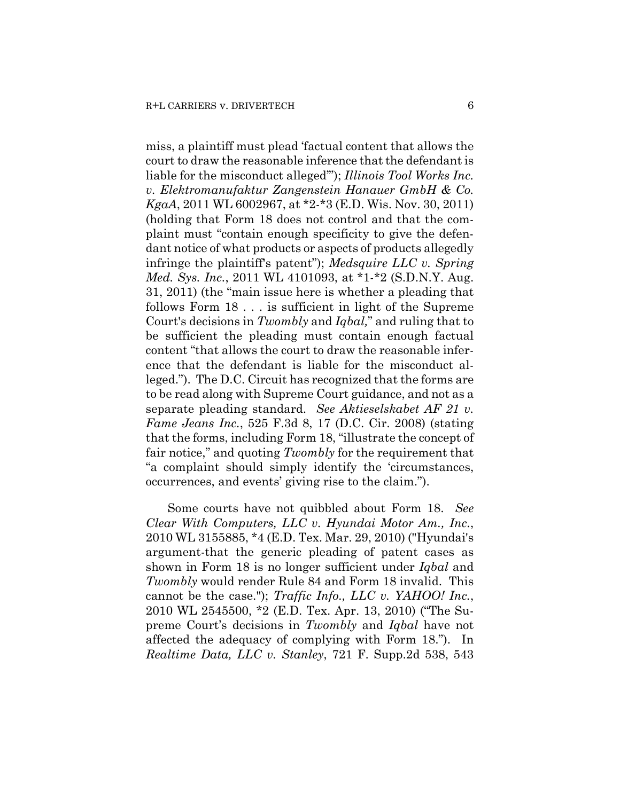miss, a plaintiff must plead 'factual content that allows the court to draw the reasonable inference that the defendant is liable for the misconduct alleged'"); *Illinois Tool Works Inc. v. Elektromanufaktur Zangenstein Hanauer GmbH & Co. KgaA*, 2011 WL 6002967, at \*2-\*3 (E.D. Wis. Nov. 30, 2011) (holding that Form 18 does not control and that the complaint must "contain enough specificity to give the defendant notice of what products or aspects of products allegedly infringe the plaintiff's patent"); *Medsquire LLC v. Spring Med. Sys. Inc.*, 2011 WL 4101093, at \*1-\*2 (S.D.N.Y. Aug. 31, 2011) (the "main issue here is whether a pleading that follows Form 18 . . . is sufficient in light of the Supreme Court's decisions in *Twombly* and *Iqbal,*" and ruling that to be sufficient the pleading must contain enough factual content "that allows the court to draw the reasonable inference that the defendant is liable for the misconduct alleged."). The D.C. Circuit has recognized that the forms are to be read along with Supreme Court guidance, and not as a separate pleading standard. *See Aktieselskabet AF 21 v. Fame Jeans Inc.*, 525 F.3d 8, 17 (D.C. Cir. 2008) (stating that the forms, including Form 18, "illustrate the concept of fair notice," and quoting *Twombly* for the requirement that "a complaint should simply identify the 'circumstances, occurrences, and events' giving rise to the claim.").

Some courts have not quibbled about Form 18. *See Clear With Computers, LLC v. Hyundai Motor Am., Inc.*, 2010 WL 3155885, \*4 (E.D. Tex. Mar. 29, 2010) ("Hyundai's argument-that the generic pleading of patent cases as shown in Form 18 is no longer sufficient under *Iqbal* and *Twombly* would render Rule 84 and Form 18 invalid. This cannot be the case."); *Traffic Info., LLC v. YAHOO! Inc.*, 2010 WL 2545500, \*2 (E.D. Tex. Apr. 13, 2010) ("The Supreme Court's decisions in *Twombly* and *Iqbal* have not affected the adequacy of complying with Form 18."). In *Realtime Data, LLC v. Stanley*, 721 F. Supp.2d 538, 543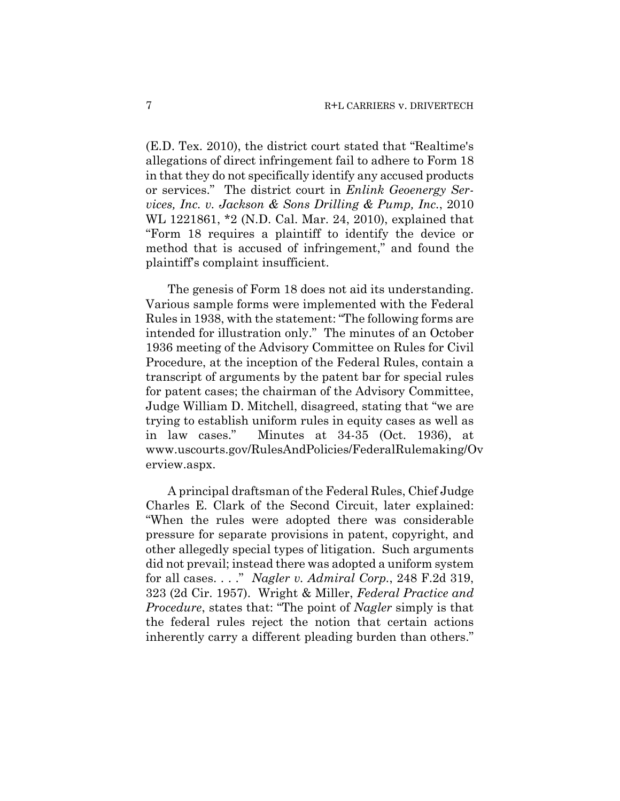(E.D. Tex. 2010), the district court stated that "Realtime's allegations of direct infringement fail to adhere to Form 18 in that they do not specifically identify any accused products or services." The district court in *Enlink Geoenergy Services, Inc. v. Jackson & Sons Drilling & Pump, Inc.*, 2010 WL 1221861, \*2 (N.D. Cal. Mar. 24, 2010), explained that "Form 18 requires a plaintiff to identify the device or method that is accused of infringement," and found the plaintiff's complaint insufficient.

The genesis of Form 18 does not aid its understanding. Various sample forms were implemented with the Federal Rules in 1938, with the statement: "The following forms are intended for illustration only." The minutes of an October 1936 meeting of the Advisory Committee on Rules for Civil Procedure, at the inception of the Federal Rules, contain a transcript of arguments by the patent bar for special rules for patent cases; the chairman of the Advisory Committee, Judge William D. Mitchell, disagreed, stating that "we are trying to establish uniform rules in equity cases as well as in law cases." Minutes at 34-35 (Oct. 1936), at www.uscourts.gov/RulesAndPolicies/FederalRulemaking/Ov erview.aspx.

A principal draftsman of the Federal Rules, Chief Judge Charles E. Clark of the Second Circuit, later explained: "When the rules were adopted there was considerable pressure for separate provisions in patent, copyright, and other allegedly special types of litigation. Such arguments did not prevail; instead there was adopted a uniform system for all cases. . . ." *Nagler v. Admiral Corp.*, 248 F.2d 319, 323 (2d Cir. 1957). Wright & Miller, *Federal Practice and Procedure*, states that: "The point of *Nagler* simply is that the federal rules reject the notion that certain actions inherently carry a different pleading burden than others."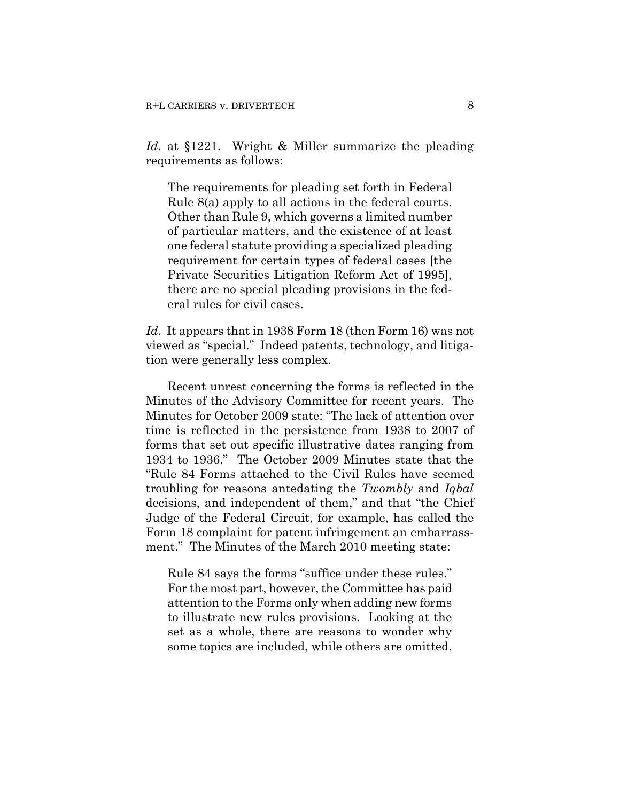*Id.* at §1221. Wright & Miller summarize the pleading requirements as follows:

The requirements for pleading set forth in Federal Rule 8(a) apply to all actions in the federal courts. Other than Rule 9, which governs a limited number of particular matters, and the existence of at least one federal statute providing a specialized pleading requirement for certain types of federal cases [the Private Securities Litigation Reform Act of 1995], there are no special pleading provisions in the federal rules for civil cases.

*Id.* It appears that in 1938 Form 18 (then Form 16) was not viewed as "special." Indeed patents, technology, and litigation were generally less complex.

Recent unrest concerning the forms is reflected in the Minutes of the Advisory Committee for recent years. The Minutes for October 2009 state: "The lack of attention over time is reflected in the persistence from 1938 to 2007 of forms that set out specific illustrative dates ranging from 1934 to 1936." The October 2009 Minutes state that the "Rule 84 Forms attached to the Civil Rules have seemed troubling for reasons antedating the *Twombly* and *Iqbal* decisions, and independent of them," and that "the Chief Judge of the Federal Circuit, for example, has called the Form 18 complaint for patent infringement an embarrassment." The Minutes of the March 2010 meeting state:

Rule 84 says the forms "suffice under these rules." For the most part, however, the Committee has paid attention to the Forms only when adding new forms to illustrate new rules provisions. Looking at the set as a whole, there are reasons to wonder why some topics are included, while others are omitted.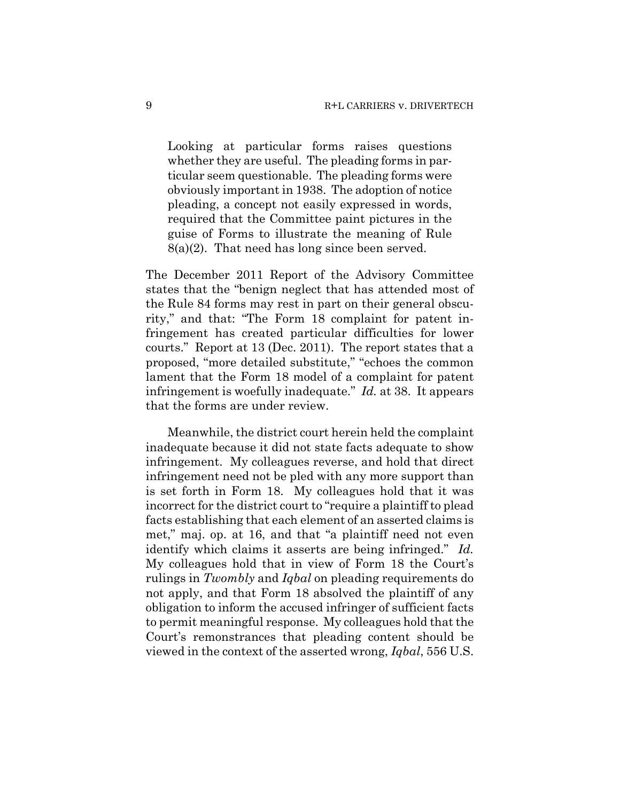Looking at particular forms raises questions whether they are useful. The pleading forms in particular seem questionable. The pleading forms were obviously important in 1938. The adoption of notice pleading, a concept not easily expressed in words, required that the Committee paint pictures in the guise of Forms to illustrate the meaning of Rule 8(a)(2). That need has long since been served.

The December 2011 Report of the Advisory Committee states that the "benign neglect that has attended most of the Rule 84 forms may rest in part on their general obscurity," and that: "The Form 18 complaint for patent infringement has created particular difficulties for lower courts." Report at 13 (Dec. 2011). The report states that a proposed, "more detailed substitute," "echoes the common lament that the Form 18 model of a complaint for patent infringement is woefully inadequate." *Id.* at 38. It appears that the forms are under review.

Meanwhile, the district court herein held the complaint inadequate because it did not state facts adequate to show infringement. My colleagues reverse, and hold that direct infringement need not be pled with any more support than is set forth in Form 18. My colleagues hold that it was incorrect for the district court to "require a plaintiff to plead facts establishing that each element of an asserted claims is met," maj. op. at 16, and that "a plaintiff need not even identify which claims it asserts are being infringed." *Id.* My colleagues hold that in view of Form 18 the Court's rulings in *Twombly* and *Iqbal* on pleading requirements do not apply, and that Form 18 absolved the plaintiff of any obligation to inform the accused infringer of sufficient facts to permit meaningful response. My colleagues hold that the Court's remonstrances that pleading content should be viewed in the context of the asserted wrong, *Iqbal*, 556 U.S.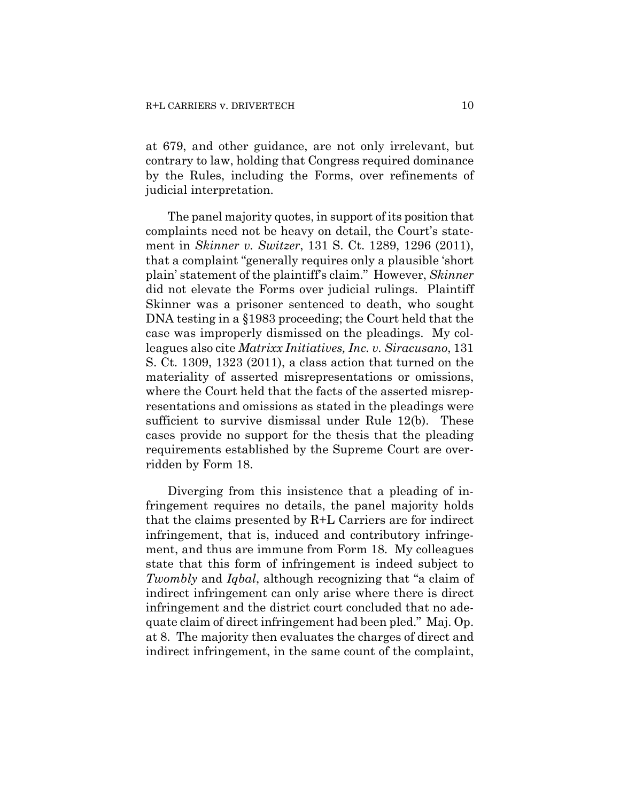at 679, and other guidance, are not only irrelevant, but contrary to law, holding that Congress required dominance by the Rules, including the Forms, over refinements of judicial interpretation.

The panel majority quotes, in support of its position that complaints need not be heavy on detail, the Court's statement in *Skinner v. Switzer*, 131 S. Ct. 1289, 1296 (2011), that a complaint "generally requires only a plausible 'short plain' statement of the plaintiff's claim." However, *Skinner* did not elevate the Forms over judicial rulings. Plaintiff Skinner was a prisoner sentenced to death, who sought DNA testing in a §1983 proceeding; the Court held that the case was improperly dismissed on the pleadings. My colleagues also cite *Matrixx Initiatives, Inc. v. Siracusano*, 131 S. Ct. 1309, 1323 (2011), a class action that turned on the materiality of asserted misrepresentations or omissions, where the Court held that the facts of the asserted misrepresentations and omissions as stated in the pleadings were sufficient to survive dismissal under Rule 12(b). These cases provide no support for the thesis that the pleading requirements established by the Supreme Court are overridden by Form 18.

Diverging from this insistence that a pleading of infringement requires no details, the panel majority holds that the claims presented by R+L Carriers are for indirect infringement, that is, induced and contributory infringement, and thus are immune from Form 18. My colleagues state that this form of infringement is indeed subject to *Twombly* and *Iqbal*, although recognizing that "a claim of indirect infringement can only arise where there is direct infringement and the district court concluded that no adequate claim of direct infringement had been pled." Maj. Op. at 8. The majority then evaluates the charges of direct and indirect infringement, in the same count of the complaint,